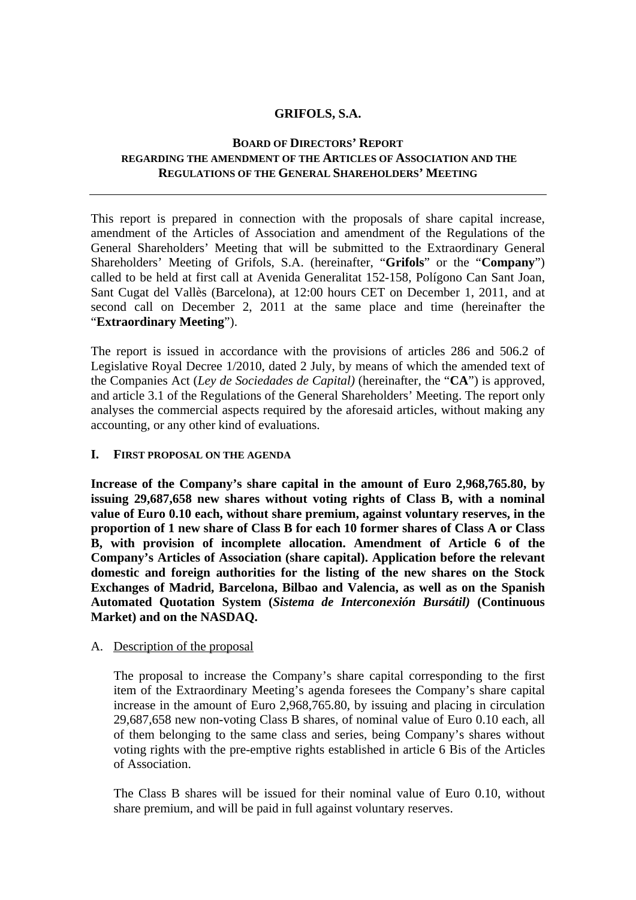### **GRIFOLS, S.A.**

### **BOARD OF DIRECTORS' REPORT REGARDING THE AMENDMENT OF THE ARTICLES OF ASSOCIATION AND THE REGULATIONS OF THE GENERAL SHAREHOLDERS' MEETING**

This report is prepared in connection with the proposals of share capital increase, amendment of the Articles of Association and amendment of the Regulations of the General Shareholders' Meeting that will be submitted to the Extraordinary General Shareholders' Meeting of Grifols, S.A. (hereinafter, "**Grifols**" or the "**Company**") called to be held at first call at Avenida Generalitat 152-158, Polígono Can Sant Joan, Sant Cugat del Vallès (Barcelona), at 12:00 hours CET on December 1, 2011, and at second call on December 2, 2011 at the same place and time (hereinafter the "**Extraordinary Meeting**").

The report is issued in accordance with the provisions of articles 286 and 506.2 of Legislative Royal Decree 1/2010, dated 2 July, by means of which the amended text of the Companies Act (*Ley de Sociedades de Capital)* (hereinafter, the "**CA**") is approved, and article 3.1 of the Regulations of the General Shareholders' Meeting. The report only analyses the commercial aspects required by the aforesaid articles, without making any accounting, or any other kind of evaluations.

### **I. FIRST PROPOSAL ON THE AGENDA**

**Increase of the Company's share capital in the amount of Euro 2,968,765.80, by issuing 29,687,658 new shares without voting rights of Class B, with a nominal value of Euro 0.10 each, without share premium, against voluntary reserves, in the proportion of 1 new share of Class B for each 10 former shares of Class A or Class B, with provision of incomplete allocation. Amendment of Article 6 of the Company's Articles of Association (share capital). Application before the relevant domestic and foreign authorities for the listing of the new shares on the Stock Exchanges of Madrid, Barcelona, Bilbao and Valencia, as well as on the Spanish Automated Quotation System (***Sistema de Interconexión Bursátil)* **(Continuous Market) and on the NASDAQ.** 

### A. Description of the proposal

The proposal to increase the Company's share capital corresponding to the first item of the Extraordinary Meeting's agenda foresees the Company's share capital increase in the amount of Euro 2,968,765.80, by issuing and placing in circulation 29,687,658 new non-voting Class B shares, of nominal value of Euro 0.10 each, all of them belonging to the same class and series, being Company's shares without voting rights with the pre-emptive rights established in article 6 Bis of the Articles of Association.

The Class B shares will be issued for their nominal value of Euro 0.10, without share premium, and will be paid in full against voluntary reserves.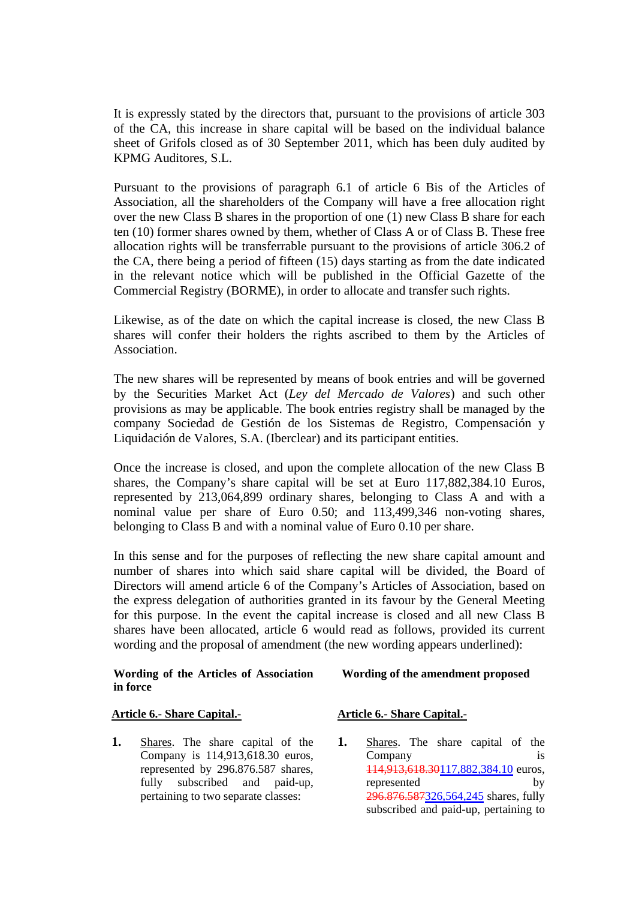It is expressly stated by the directors that, pursuant to the provisions of article 303 of the CA*,* this increase in share capital will be based on the individual balance sheet of Grifols closed as of 30 September 2011, which has been duly audited by KPMG Auditores, S.L.

Pursuant to the provisions of paragraph 6.1 of article 6 Bis of the Articles of Association, all the shareholders of the Company will have a free allocation right over the new Class B shares in the proportion of one (1) new Class B share for each ten (10) former shares owned by them, whether of Class A or of Class B. These free allocation rights will be transferrable pursuant to the provisions of article 306.2 of the CA, there being a period of fifteen (15) days starting as from the date indicated in the relevant notice which will be published in the Official Gazette of the Commercial Registry (BORME), in order to allocate and transfer such rights.

Likewise, as of the date on which the capital increase is closed, the new Class B shares will confer their holders the rights ascribed to them by the Articles of Association.

The new shares will be represented by means of book entries and will be governed by the Securities Market Act (*Ley del Mercado de Valores*) and such other provisions as may be applicable. The book entries registry shall be managed by the company Sociedad de Gestión de los Sistemas de Registro, Compensación y Liquidación de Valores, S.A. (Iberclear) and its participant entities.

Once the increase is closed, and upon the complete allocation of the new Class B shares, the Company's share capital will be set at Euro 117,882,384.10 Euros, represented by 213,064,899 ordinary shares, belonging to Class A and with a nominal value per share of Euro 0.50; and 113,499,346 non-voting shares, belonging to Class B and with a nominal value of Euro 0.10 per share.

In this sense and for the purposes of reflecting the new share capital amount and number of shares into which said share capital will be divided, the Board of Directors will amend article 6 of the Company's Articles of Association, based on the express delegation of authorities granted in its favour by the General Meeting for this purpose. In the event the capital increase is closed and all new Class B shares have been allocated, article 6 would read as follows, provided its current wording and the proposal of amendment (the new wording appears underlined):

#### **Wording of the Articles of Association in force**

# **Wording of the amendment proposed**

#### **Article 6.- Share Capital.-**

**1.** Shares. The share capital of the Company is 114,913,618.30 euros, represented by 296.876.587 shares, fully subscribed and paid-up, pertaining to two separate classes:

#### **Article 6.- Share Capital.-**

**1.** Shares. The share capital of the Company is 114,913,618.30117,882,384.10 euros, represented by 296.876.587326,564,245 shares, fully subscribed and paid-up, pertaining to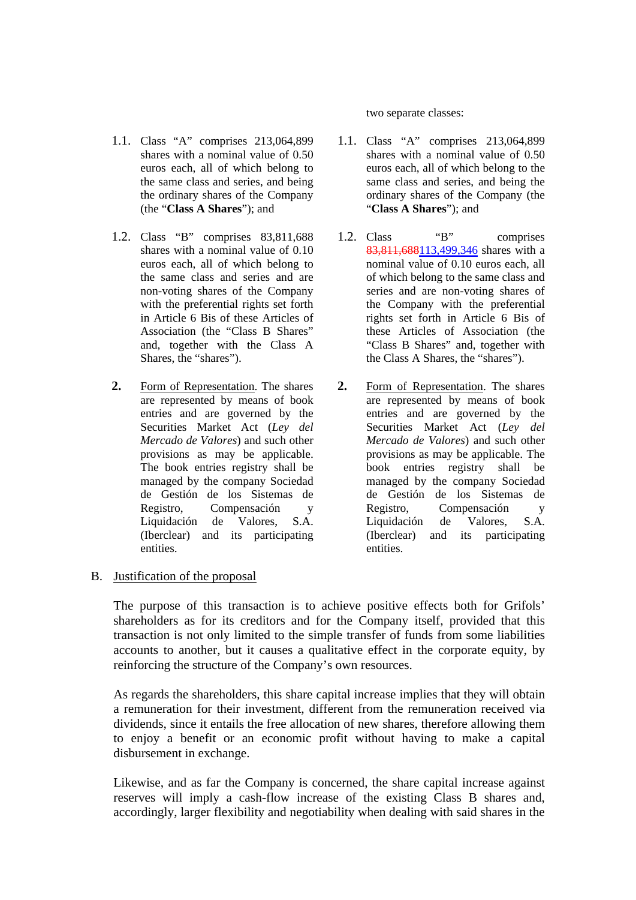1.1. Class "A" comprises 213,064,899 shares with a nominal value of 0.50 euros each, all of which belong to the same class and series, and being the ordinary shares of the Company (the "**Class A Shares**"); and

- 1.2. Class "B" comprises 83,811,688 shares with a nominal value of 0.10 euros each, all of which belong to the same class and series and are non-voting shares of the Company with the preferential rights set forth in Article 6 Bis of these Articles of Association (the "Class B Shares" and, together with the Class A Shares, the "shares").
- **2.** Form of Representation. The shares are represented by means of book entries and are governed by the Securities Market Act (*Ley del Mercado de Valores*) and such other provisions as may be applicable. The book entries registry shall be managed by the company Sociedad de Gestión de los Sistemas de Registro, Compensación y<br>Liquidación de Valores. S.A. Liquidación de Valores, (Iberclear) and its participating entities.

two separate classes:

- 1.1. Class "A" comprises 213,064,899 shares with a nominal value of 0.50 euros each, all of which belong to the same class and series, and being the ordinary shares of the Company (the "**Class A Shares**"); and
- 1.2. Class "B" comprises 83,811,688113,499,346 shares with a nominal value of 0.10 euros each, all of which belong to the same class and series and are non-voting shares of the Company with the preferential rights set forth in Article 6 Bis of these Articles of Association (the "Class B Shares" and, together with the Class A Shares, the "shares").
- **2.** Form of Representation. The shares are represented by means of book entries and are governed by the Securities Market Act (*Ley del Mercado de Valores*) and such other provisions as may be applicable. The book entries registry shall be managed by the company Sociedad de Gestión de los Sistemas de Registro, Compensación y Liquidación de Valores, S.A. (Iberclear) and its participating entities.

# B. Justification of the proposal

The purpose of this transaction is to achieve positive effects both for Grifols' shareholders as for its creditors and for the Company itself, provided that this transaction is not only limited to the simple transfer of funds from some liabilities accounts to another, but it causes a qualitative effect in the corporate equity, by reinforcing the structure of the Company's own resources.

As regards the shareholders, this share capital increase implies that they will obtain a remuneration for their investment, different from the remuneration received via dividends, since it entails the free allocation of new shares, therefore allowing them to enjoy a benefit or an economic profit without having to make a capital disbursement in exchange.

Likewise, and as far the Company is concerned, the share capital increase against reserves will imply a cash-flow increase of the existing Class B shares and, accordingly, larger flexibility and negotiability when dealing with said shares in the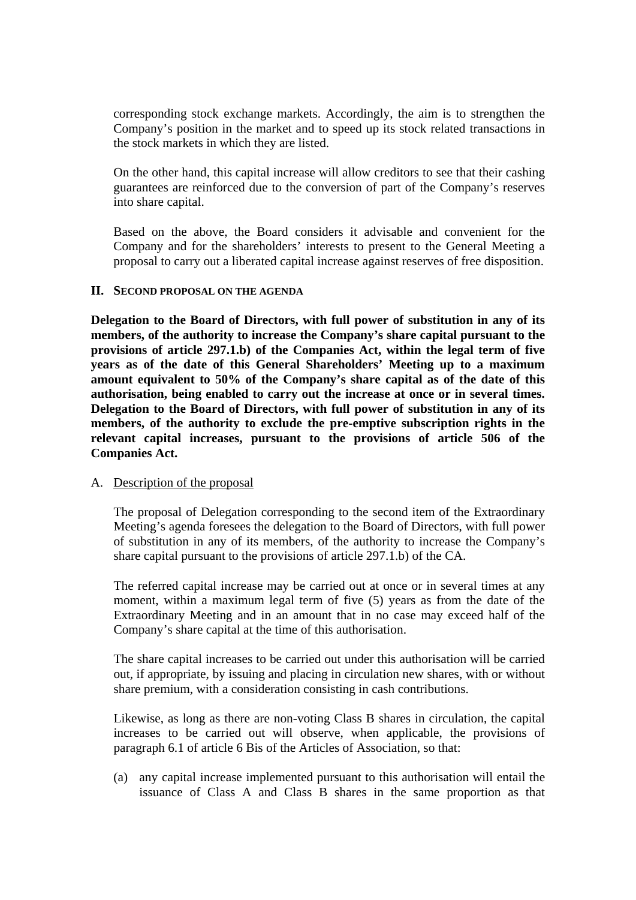corresponding stock exchange markets. Accordingly, the aim is to strengthen the Company's position in the market and to speed up its stock related transactions in the stock markets in which they are listed.

On the other hand, this capital increase will allow creditors to see that their cashing guarantees are reinforced due to the conversion of part of the Company's reserves into share capital.

Based on the above, the Board considers it advisable and convenient for the Company and for the shareholders' interests to present to the General Meeting a proposal to carry out a liberated capital increase against reserves of free disposition.

### **II. SECOND PROPOSAL ON THE AGENDA**

**Delegation to the Board of Directors, with full power of substitution in any of its members, of the authority to increase the Company's share capital pursuant to the provisions of article 297.1.b) of the Companies Act, within the legal term of five years as of the date of this General Shareholders' Meeting up to a maximum amount equivalent to 50% of the Company's share capital as of the date of this authorisation, being enabled to carry out the increase at once or in several times. Delegation to the Board of Directors, with full power of substitution in any of its members, of the authority to exclude the pre-emptive subscription rights in the relevant capital increases, pursuant to the provisions of article 506 of the Companies Act.** 

#### A. Description of the proposal

The proposal of Delegation corresponding to the second item of the Extraordinary Meeting's agenda foresees the delegation to the Board of Directors, with full power of substitution in any of its members, of the authority to increase the Company's share capital pursuant to the provisions of article 297.1.b) of the CA.

The referred capital increase may be carried out at once or in several times at any moment, within a maximum legal term of five (5) years as from the date of the Extraordinary Meeting and in an amount that in no case may exceed half of the Company's share capital at the time of this authorisation.

The share capital increases to be carried out under this authorisation will be carried out, if appropriate, by issuing and placing in circulation new shares, with or without share premium, with a consideration consisting in cash contributions.

Likewise, as long as there are non-voting Class B shares in circulation, the capital increases to be carried out will observe, when applicable, the provisions of paragraph 6.1 of article 6 Bis of the Articles of Association, so that:

(a) any capital increase implemented pursuant to this authorisation will entail the issuance of Class A and Class B shares in the same proportion as that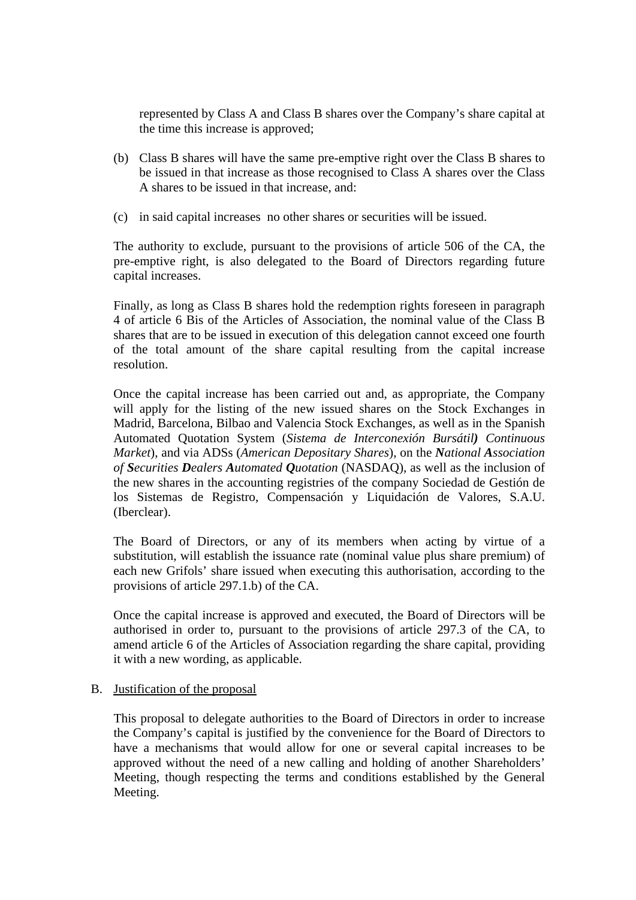represented by Class A and Class B shares over the Company's share capital at the time this increase is approved;

- (b) Class B shares will have the same pre-emptive right over the Class B shares to be issued in that increase as those recognised to Class A shares over the Class A shares to be issued in that increase, and:
- (c) in said capital increases no other shares or securities will be issued.

The authority to exclude, pursuant to the provisions of article 506 of the CA, the pre-emptive right, is also delegated to the Board of Directors regarding future capital increases.

Finally, as long as Class B shares hold the redemption rights foreseen in paragraph 4 of article 6 Bis of the Articles of Association, the nominal value of the Class B shares that are to be issued in execution of this delegation cannot exceed one fourth of the total amount of the share capital resulting from the capital increase resolution.

Once the capital increase has been carried out and, as appropriate, the Company will apply for the listing of the new issued shares on the Stock Exchanges in Madrid, Barcelona, Bilbao and Valencia Stock Exchanges, as well as in the Spanish Automated Quotation System (*Sistema de Interconexión Bursátil) Continuous Market*), and via ADSs (*American Depositary Shares*), on the *National Association of Securities Dealers Automated Quotation* (NASDAQ), as well as the inclusion of the new shares in the accounting registries of the company Sociedad de Gestión de los Sistemas de Registro, Compensación y Liquidación de Valores, S.A.U. (Iberclear).

The Board of Directors, or any of its members when acting by virtue of a substitution, will establish the issuance rate (nominal value plus share premium) of each new Grifols' share issued when executing this authorisation, according to the provisions of article 297.1.b) of the CA.

Once the capital increase is approved and executed, the Board of Directors will be authorised in order to, pursuant to the provisions of article 297.3 of the CA, to amend article 6 of the Articles of Association regarding the share capital, providing it with a new wording, as applicable.

### B. Justification of the proposal

This proposal to delegate authorities to the Board of Directors in order to increase the Company's capital is justified by the convenience for the Board of Directors to have a mechanisms that would allow for one or several capital increases to be approved without the need of a new calling and holding of another Shareholders' Meeting, though respecting the terms and conditions established by the General Meeting.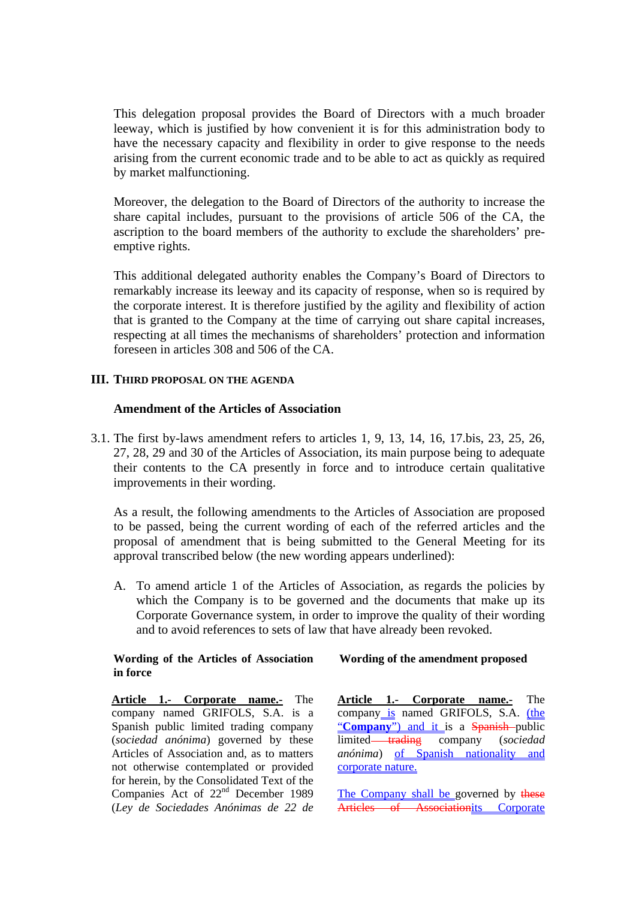This delegation proposal provides the Board of Directors with a much broader leeway, which is justified by how convenient it is for this administration body to have the necessary capacity and flexibility in order to give response to the needs arising from the current economic trade and to be able to act as quickly as required by market malfunctioning.

Moreover, the delegation to the Board of Directors of the authority to increase the share capital includes, pursuant to the provisions of article 506 of the CA, the ascription to the board members of the authority to exclude the shareholders' preemptive rights.

This additional delegated authority enables the Company's Board of Directors to remarkably increase its leeway and its capacity of response, when so is required by the corporate interest. It is therefore justified by the agility and flexibility of action that is granted to the Company at the time of carrying out share capital increases, respecting at all times the mechanisms of shareholders' protection and information foreseen in articles 308 and 506 of the CA.

### **III. THIRD PROPOSAL ON THE AGENDA**

### **Amendment of the Articles of Association**

3.1. The first by-laws amendment refers to articles 1, 9, 13, 14, 16, 17.bis, 23, 25, 26, 27, 28, 29 and 30 of the Articles of Association, its main purpose being to adequate their contents to the CA presently in force and to introduce certain qualitative improvements in their wording.

As a result, the following amendments to the Articles of Association are proposed to be passed, being the current wording of each of the referred articles and the proposal of amendment that is being submitted to the General Meeting for its approval transcribed below (the new wording appears underlined):

A. To amend article 1 of the Articles of Association, as regards the policies by which the Company is to be governed and the documents that make up its Corporate Governance system, in order to improve the quality of their wording and to avoid references to sets of law that have already been revoked.

#### **Wording of the Articles of Association in force**

 **Wording of the amendment proposed** 

**Article 1.- Corporate name.-** The company named GRIFOLS, S.A. is a Spanish public limited trading company (*sociedad anónima*) governed by these Articles of Association and, as to matters not otherwise contemplated or provided for herein, by the Consolidated Text of the Companies Act of 22<sup>nd</sup> December 1989 (*Ley de Sociedades Anónimas de 22 de* 

**Article 1.- Corporate name.-** The company is named GRIFOLS, S.A. (the "**Company**") and it is a **Spanish**-public limited trading company (*sociedad anónima*) of Spanish nationality and corporate nature.

The Company shall be governed by these Articles of Associationits Corporate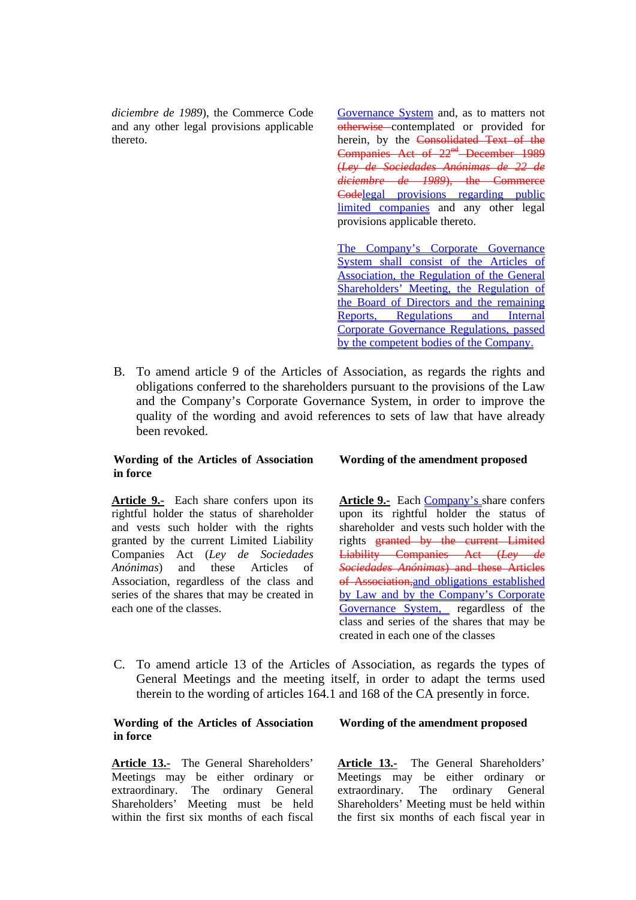*diciembre de 1989*), the Commerce Code and any other legal provisions applicable thereto.

Governance System and, as to matters not otherwise contemplated or provided for herein, by the Consolidated Text of the Companies Act of 22<sup>nd</sup> December 1989 (*Ley de Sociedades Anónimas de 22 de diciembre de 1989*), the Commerce Codelegal provisions regarding public limited companies and any other legal provisions applicable thereto.

The Company's Corporate Governance System shall consist of the Articles of Association, the Regulation of the General Shareholders' Meeting, the Regulation of the Board of Directors and the remaining Reports, Regulations and Internal Corporate Governance Regulations, passed by the competent bodies of the Company.

B. To amend article 9 of the Articles of Association, as regards the rights and obligations conferred to the shareholders pursuant to the provisions of the Law and the Company's Corporate Governance System, in order to improve the quality of the wording and avoid references to sets of law that have already been revoked.

#### **Wording of the Articles of Association in force**

**Article 9.-** Each share confers upon its rightful holder the status of shareholder and vests such holder with the rights granted by the current Limited Liability Companies Act (*Ley de Sociedades Anónimas*) and these Articles of Association, regardless of the class and series of the shares that may be created in each one of the classes.

#### **Wording of the amendment proposed**

**Article 9.-** Each Company's share confers upon its rightful holder the status of shareholder and vests such holder with the rights granted by the current Limited Liability Companies Act (*Ley de Sociedades Anónimas*) and these Articles of Association,and obligations established by Law and by the Company's Corporate Governance System, regardless of the class and series of the shares that may be created in each one of the classes

C. To amend article 13 of the Articles of Association, as regards the types of General Meetings and the meeting itself, in order to adapt the terms used therein to the wording of articles 164.1 and 168 of the CA presently in force.

#### **Wording of the Articles of Association in force**

**Article 13.-** The General Shareholders' Meetings may be either ordinary or extraordinary. The ordinary General Shareholders' Meeting must be held within the first six months of each fiscal

#### **Wording of the amendment proposed**

**Article 13.-** The General Shareholders' Meetings may be either ordinary or extraordinary. The ordinary General Shareholders' Meeting must be held within the first six months of each fiscal year in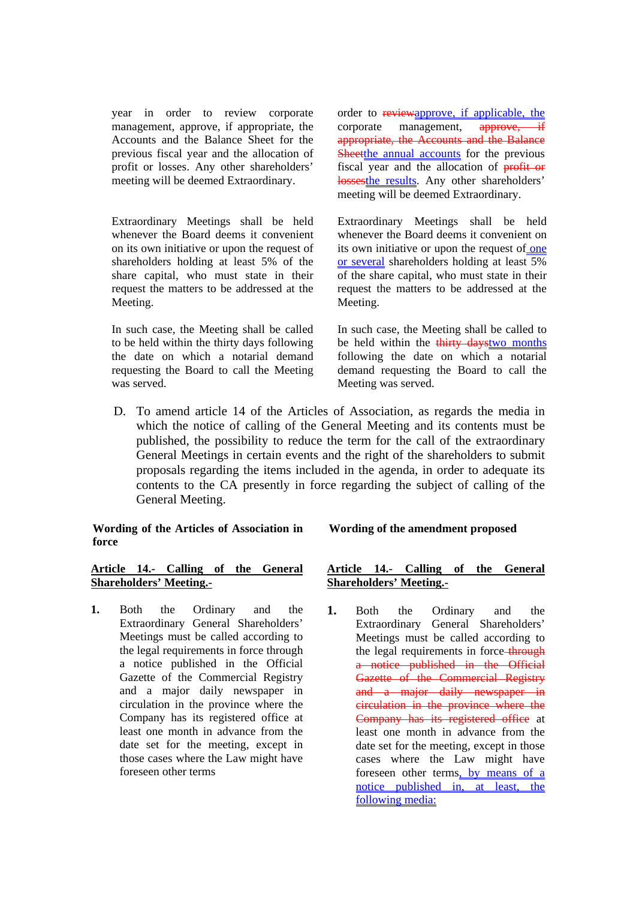year in order to review corporate management, approve, if appropriate, the Accounts and the Balance Sheet for the previous fiscal year and the allocation of profit or losses. Any other shareholders' meeting will be deemed Extraordinary.

Extraordinary Meetings shall be held whenever the Board deems it convenient on its own initiative or upon the request of shareholders holding at least 5% of the share capital, who must state in their request the matters to be addressed at the Meeting.

In such case, the Meeting shall be called to be held within the thirty days following the date on which a notarial demand requesting the Board to call the Meeting was served.

order to reviewapprove, if applicable, the corporate management, approve, if appropriate, the Accounts and the Balance Sheetthe annual accounts for the previous fiscal year and the allocation of **profit or** lossesthe results. Any other shareholders' meeting will be deemed Extraordinary.

Extraordinary Meetings shall be held whenever the Board deems it convenient on its own initiative or upon the request of one or several shareholders holding at least 5% of the share capital, who must state in their request the matters to be addressed at the Meeting.

In such case, the Meeting shall be called to be held within the thirty daystwo months following the date on which a notarial demand requesting the Board to call the Meeting was served.

D. To amend article 14 of the Articles of Association, as regards the media in which the notice of calling of the General Meeting and its contents must be published, the possibility to reduce the term for the call of the extraordinary General Meetings in certain events and the right of the shareholders to submit proposals regarding the items included in the agenda, in order to adequate its contents to the CA presently in force regarding the subject of calling of the General Meeting.

**Wording of the Articles of Association in force** 

### **Article 14.- Calling of the General Shareholders' Meeting.-**

**1.** Both the Ordinary and the Extraordinary General Shareholders' Meetings must be called according to the legal requirements in force through a notice published in the Official Gazette of the Commercial Registry and a major daily newspaper in circulation in the province where the Company has its registered office at least one month in advance from the date set for the meeting, except in those cases where the Law might have foreseen other terms

### **Wording of the amendment proposed**

### **Article 14.- Calling of the General Shareholders' Meeting.-**

**1.** Both the Ordinary and the Extraordinary General Shareholders' Meetings must be called according to the legal requirements in force-through a notice published in the Official **Gazette of the Commercial Registry** and a major daily newspaper in circulation in the province where the Company has its registered office at least one month in advance from the date set for the meeting, except in those cases where the Law might have foreseen other terms, by means of a notice published in, at least, the following media: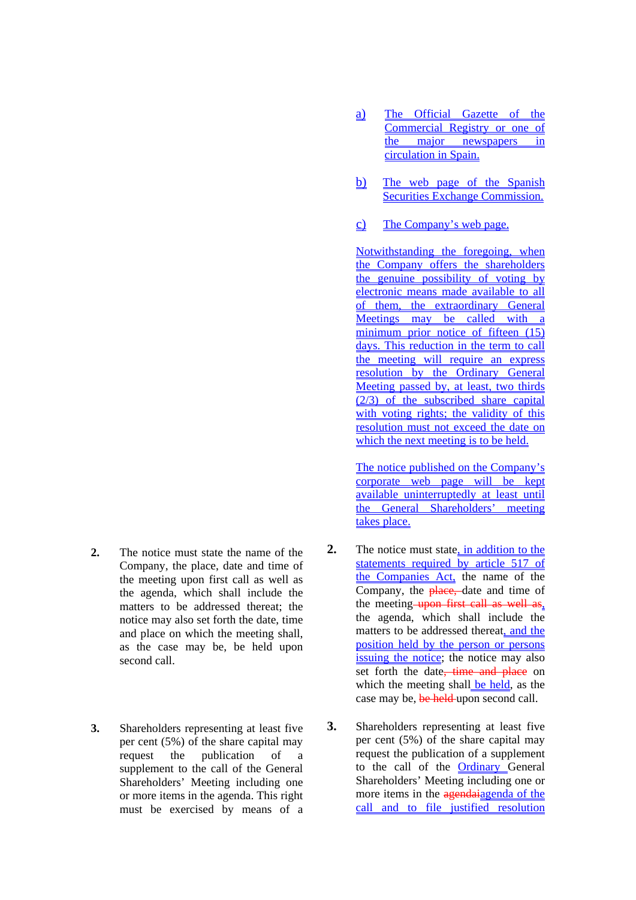- **2.** The notice must state the name of the Company, the place, date and time of the meeting upon first call as well as the agenda, which shall include the matters to be addressed thereat; the notice may also set forth the date, time and place on which the meeting shall, as the case may be, be held upon second call.
- **3.** Shareholders representing at least five per cent (5%) of the share capital may request the publication of a supplement to the call of the General Shareholders' Meeting including one or more items in the agenda. This right must be exercised by means of a
- a) The Official Gazette of the Commercial Registry or one of the major newspapers in circulation in Spain.
- b) The web page of the Spanish Securities Exchange Commission.
- c) The Company's web page.

Notwithstanding the foregoing, when the Company offers the shareholders the genuine possibility of voting by electronic means made available to all of them, the extraordinary General Meetings may be called with a minimum prior notice of fifteen (15) days. This reduction in the term to call the meeting will require an express resolution by the Ordinary General Meeting passed by, at least, two thirds  $(2/3)$  of the subscribed share capital with voting rights; the validity of this resolution must not exceed the date on which the next meeting is to be held.

The notice published on the Company's corporate web page will be kept available uninterruptedly at least until the General Shareholders' meeting takes place.

- **2.** The notice must state, in addition to the statements required by article 517 of the Companies Act, the name of the Company, the place, date and time of the meeting upon first call as well as, the agenda, which shall include the matters to be addressed thereat, and the position held by the person or persons issuing the notice; the notice may also set forth the date, time and place on which the meeting shall be held, as the case may be, be held upon second call.
- **3.** Shareholders representing at least five per cent (5%) of the share capital may request the publication of a supplement to the call of the Ordinary General Shareholders' Meeting including one or more items in the agendaiagenda of the call and to file justified resolution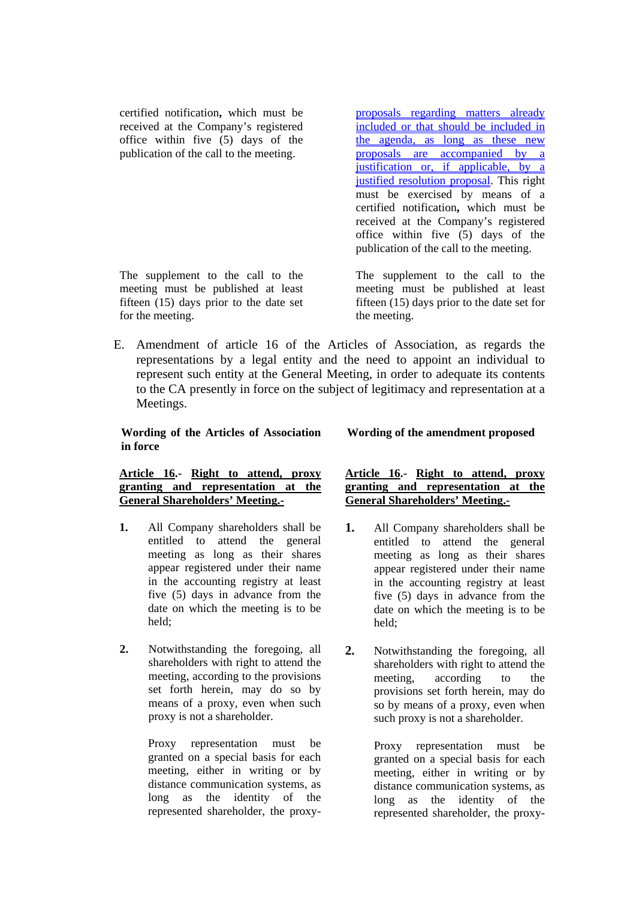certified notification**,** which must be received at the Company's registered office within five (5) days of the publication of the call to the meeting.

The supplement to the call to the meeting must be published at least fifteen (15) days prior to the date set for the meeting.

proposals regarding matters already included or that should be included in the agenda, as long as these new proposals are accompanied by a justification or, if applicable, by a justified resolution proposal. This right must be exercised by means of a certified notification**,** which must be received at the Company's registered office within five (5) days of the publication of the call to the meeting.

The supplement to the call to the meeting must be published at least fifteen (15) days prior to the date set for the meeting.

E. Amendment of article 16 of the Articles of Association, as regards the representations by a legal entity and the need to appoint an individual to represent such entity at the General Meeting, in order to adequate its contents to the CA presently in force on the subject of legitimacy and representation at a Meetings.

### **Wording of the Articles of Association in force**

 **Wording of the amendment proposed** 

#### **Article 16.- Right to attend, proxy granting and representation at the General Shareholders' Meeting.-**

- **1.** All Company shareholders shall be entitled to attend the general meeting as long as their shares appear registered under their name in the accounting registry at least five (5) days in advance from the date on which the meeting is to be held;
- **2.** Notwithstanding the foregoing, all shareholders with right to attend the meeting, according to the provisions set forth herein, may do so by means of a proxy, even when such proxy is not a shareholder.

Proxy representation must be granted on a special basis for each meeting, either in writing or by distance communication systems, as long as the identity of the represented shareholder, the proxy-

### **Article 16.- Right to attend, proxy granting and representation at the General Shareholders' Meeting.-**

- **1.** All Company shareholders shall be entitled to attend the general meeting as long as their shares appear registered under their name in the accounting registry at least five (5) days in advance from the date on which the meeting is to be held;
- **2.** Notwithstanding the foregoing, all shareholders with right to attend the meeting, according to the provisions set forth herein, may do so by means of a proxy, even when such proxy is not a shareholder.

Proxy representation must be granted on a special basis for each meeting, either in writing or by distance communication systems, as long as the identity of the represented shareholder, the proxy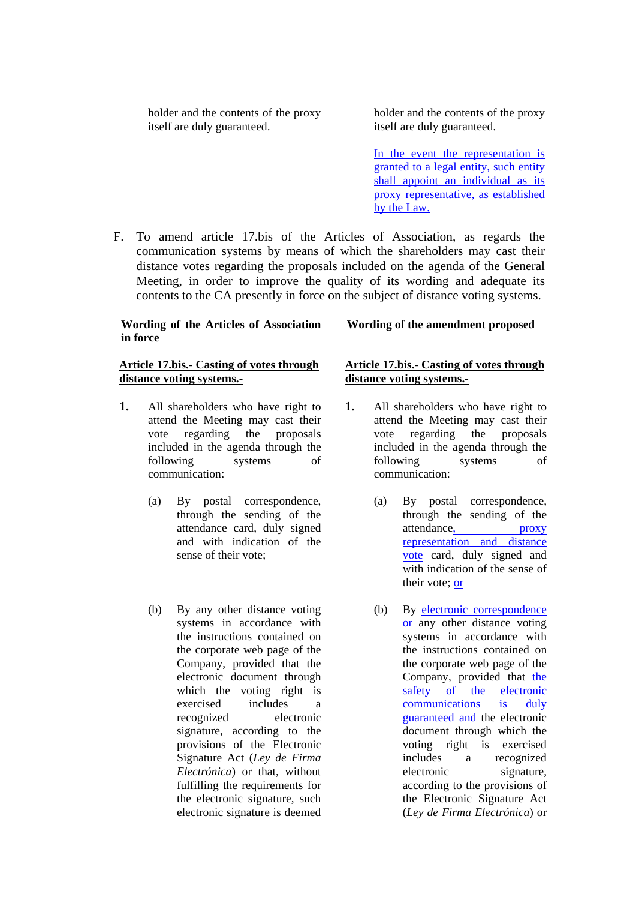holder and the contents of the proxy itself are duly guaranteed.

holder and the contents of the proxy itself are duly guaranteed.

In the event the representation is granted to a legal entity, such entity shall appoint an individual as its proxy representative, as established by the Law.

F. To amend article 17.bis of the Articles of Association, as regards the communication systems by means of which the shareholders may cast their distance votes regarding the proposals included on the agenda of the General Meeting, in order to improve the quality of its wording and adequate its contents to the CA presently in force on the subject of distance voting systems.

### **Wording of the Articles of Association in force**

### **Article 17.bis.- Casting of votes through distance voting systems.-**

- **1.** All shareholders who have right to attend the Meeting may cast their vote regarding the proposals included in the agenda through the following systems of communication:
	- (a) By postal correspondence, through the sending of the attendance card, duly signed and with indication of the sense of their vote;
	- (b) By any other distance voting systems in accordance with the instructions contained on the corporate web page of the Company, provided that the electronic document through which the voting right is exercised includes a recognized electronic signature, according to the provisions of the Electronic Signature Act (*Ley de Firma Electrónica*) or that, without fulfilling the requirements for the electronic signature, such electronic signature is deemed

### **Wording of the amendment proposed**

### **Article 17.bis.- Casting of votes through distance voting systems.-**

- **1.** All shareholders who have right to attend the Meeting may cast their vote regarding the proposals included in the agenda through the following systems of communication:
	- (a) By postal correspondence, through the sending of the attendance, proxy representation and distance vote card, duly signed and with indication of the sense of their vote; or
	- (b) By electronic correspondence or any other distance voting systems in accordance with the instructions contained on the corporate web page of the Company, provided that the safety of the electronic communications is duly guaranteed and the electronic document through which the voting right is exercised includes a recognized electronic signature, according to the provisions of the Electronic Signature Act (*Ley de Firma Electrónica*) or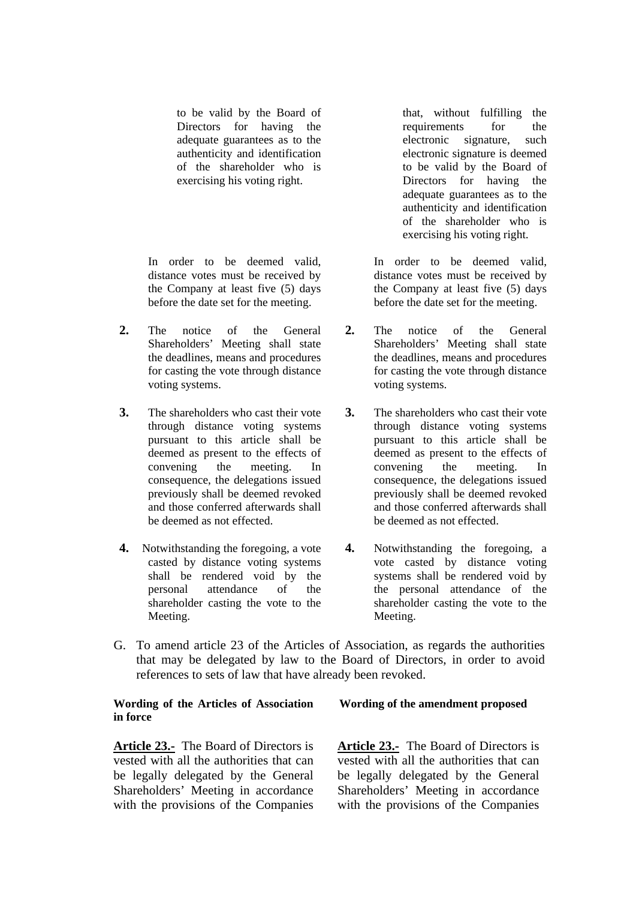to be valid by the Board of Directors for having the adequate guarantees as to the authenticity and identification of the shareholder who is exercising his voting right.

In order to be deemed valid, distance votes must be received by the Company at least five (5) days before the date set for the meeting.

- **2.** The notice of the General Shareholders' Meeting shall state the deadlines, means and procedures for casting the vote through distance voting systems.
- **3.** The shareholders who cast their vote through distance voting systems pursuant to this article shall be deemed as present to the effects of convening the meeting. In consequence, the delegations issued previously shall be deemed revoked and those conferred afterwards shall be deemed as not effected.
- **4.** Notwithstanding the foregoing, a vote casted by distance voting systems shall be rendered void by the personal attendance of the shareholder casting the vote to the Meeting.

that, without fulfilling the requirements for the electronic signature, such electronic signature is deemed to be valid by the Board of Directors for having the adequate guarantees as to the authenticity and identification of the shareholder who is exercising his voting right.

In order to be deemed valid, distance votes must be received by the Company at least five (5) days before the date set for the meeting.

- **2.** The notice of the General Shareholders' Meeting shall state the deadlines, means and procedures for casting the vote through distance voting systems.
- **3.** The shareholders who cast their vote through distance voting systems pursuant to this article shall be deemed as present to the effects of convening the meeting. In consequence, the delegations issued previously shall be deemed revoked and those conferred afterwards shall be deemed as not effected.
- **4.** Notwithstanding the foregoing, a vote casted by distance voting systems shall be rendered void by the personal attendance of the shareholder casting the vote to the Meeting.
- G. To amend article 23 of the Articles of Association, as regards the authorities that may be delegated by law to the Board of Directors, in order to avoid references to sets of law that have already been revoked.

### **Wording of the Articles of Association in force**

**Article 23.-** The Board of Directors is vested with all the authorities that can be legally delegated by the General Shareholders' Meeting in accordance with the provisions of the Companies **Wording of the amendment proposed**

**Article 23.-** The Board of Directors is vested with all the authorities that can be legally delegated by the General Shareholders' Meeting in accordance with the provisions of the Companies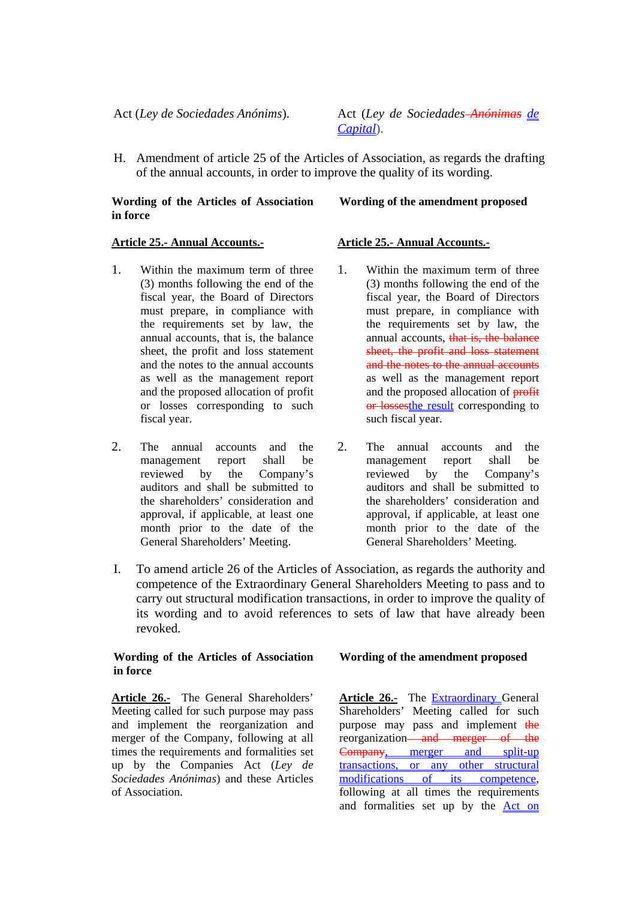Act (*Ley de Sociedades Anónims*). Act (*Ley de Sociedades Anónimas de Capital*).

H. Amendment of article 25 of the Articles of Association, as regards the drafting of the annual accounts, in order to improve the quality of its wording.

#### **Wording of the Articles of Association in force**

## **Wording of the amendment proposed**

### **Article 25.- Annual Accounts.-**

- 1. Within the maximum term of three (3) months following the end of the fiscal year, the Board of Directors must prepare, in compliance with the requirements set by law, the annual accounts, that is, the balance sheet, the profit and loss statement and the notes to the annual accounts as well as the management report and the proposed allocation of profit or losses corresponding to such fiscal year.
- 2. The annual accounts and the management report shall be reviewed by the Company's auditors and shall be submitted to the shareholders' consideration and approval, if applicable, at least one month prior to the date of the General Shareholders' Meeting.

### **Article 25.- Annual Accounts.-**

- 1. Within the maximum term of three (3) months following the end of the fiscal year, the Board of Directors must prepare, in compliance with the requirements set by law, the annual accounts, that is, the balance sheet, the profit and loss statement and the notes to the annual accounts as well as the management report and the proposed allocation of profit or lossesthe result corresponding to such fiscal year.
- 2. The annual accounts and the management report shall be reviewed by the Company's auditors and shall be submitted to the shareholders' consideration and approval, if applicable, at least one month prior to the date of the General Shareholders' Meeting.
- I. To amend article 26 of the Articles of Association, as regards the authority and competence of the Extraordinary General Shareholders Meeting to pass and to carry out structural modification transactions, in order to improve the quality of its wording and to avoid references to sets of law that have already been revoked.

#### **Wording of the Articles of Association in force**

**Article 26.-** The General Shareholders' Meeting called for such purpose may pass and implement the reorganization and merger of the Company, following at all times the requirements and formalities set up by the Companies Act (*Ley de Sociedades Anónimas*) and these Articles of Association.

#### **Wording of the amendment proposed**

**Article 26.-** The Extraordinary General Shareholders' Meeting called for such purpose may pass and implement the reorganization—and merger of the Company, merger and split-up transactions, or any other structural modifications of its competence, following at all times the requirements and formalities set up by the Act on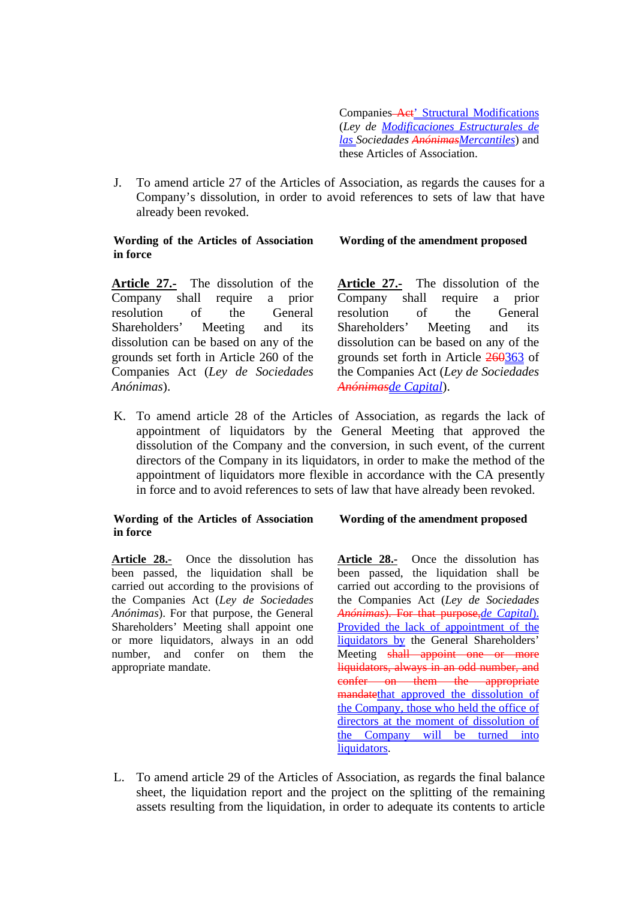Companies Act' Structural Modifications (*Ley de Modificaciones Estructurales de las Sociedades AnónimasMercantiles*) and these Articles of Association.

J. To amend article 27 of the Articles of Association, as regards the causes for a Company's dissolution, in order to avoid references to sets of law that have already been revoked.

### **Wording of the Articles of Association in force**

**Wording of the amendment proposed**

**Article 27.-** The dissolution of the Company shall require a prior resolution of the General Shareholders' Meeting and its dissolution can be based on any of the grounds set forth in Article 260 of the Companies Act (*Ley de Sociedades Anónimas*).

**Article 27.-** The dissolution of the Company shall require a prior resolution of the General Shareholders' Meeting and its dissolution can be based on any of the grounds set forth in Article 260363 of the Companies Act (*Ley de Sociedades Anónimasde Capital*).

K. To amend article 28 of the Articles of Association, as regards the lack of appointment of liquidators by the General Meeting that approved the dissolution of the Company and the conversion, in such event, of the current directors of the Company in its liquidators, in order to make the method of the appointment of liquidators more flexible in accordance with the CA presently in force and to avoid references to sets of law that have already been revoked.

### **Wording of the Articles of Association in force**

**Article 28.-** Once the dissolution has been passed, the liquidation shall be carried out according to the provisions of the Companies Act (*Ley de Sociedades Anónimas*). For that purpose, the General Shareholders' Meeting shall appoint one or more liquidators, always in an odd number, and confer on them the appropriate mandate.

### **Wording of the amendment proposed**

**Article 28.-** Once the dissolution has been passed, the liquidation shall be carried out according to the provisions of the Companies Act (*Ley de Sociedades Anónimas*). For that purpose,*de Capital*). Provided the lack of appointment of the liquidators by the General Shareholders' Meeting shall appoint one or more liquidators, always in an odd number, and confer on them the appropriate mandatethat approved the dissolution of the Company, those who held the office of directors at the moment of dissolution of the Company will be turned into liquidators.

L. To amend article 29 of the Articles of Association, as regards the final balance sheet, the liquidation report and the project on the splitting of the remaining assets resulting from the liquidation, in order to adequate its contents to article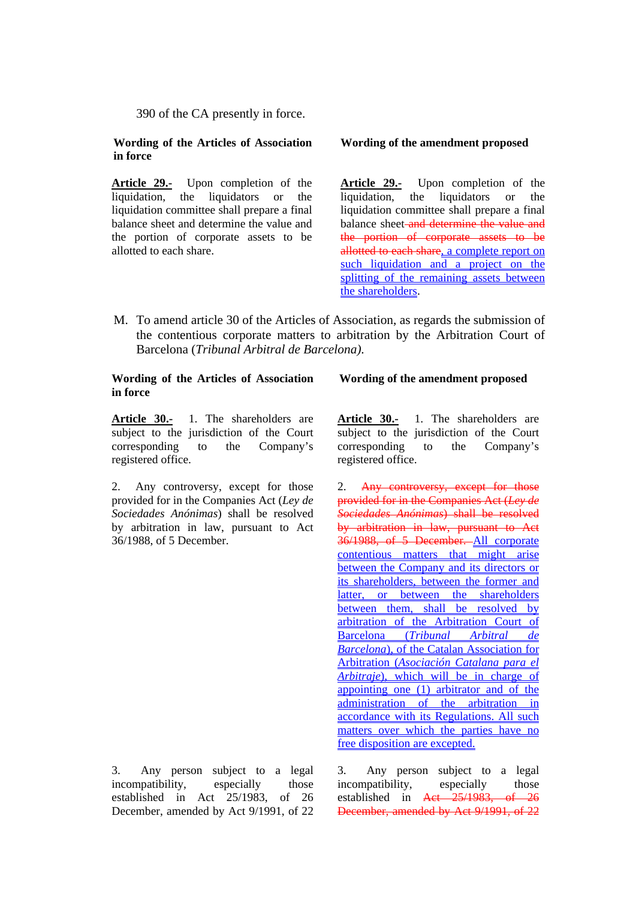390 of the CA presently in force.

#### **Wording of the Articles of Association in force**

**Article 29.-** Upon completion of the liquidation, the liquidators or the liquidation committee shall prepare a final balance sheet and determine the value and the portion of corporate assets to be allotted to each share.

#### **Wording of the amendment proposed**

**Article 29.-** Upon completion of the liquidation, the liquidators or the liquidation committee shall prepare a final balance sheet and determine the value and the portion of corporate assets to be allotted to each share, a complete report on such liquidation and a project on the splitting of the remaining assets between the shareholders.

M. To amend article 30 of the Articles of Association, as regards the submission of the contentious corporate matters to arbitration by the Arbitration Court of Barcelona (*Tribunal Arbitral de Barcelona)*.

#### **Wording of the Articles of Association in force**

**Article 30.-** 1. The shareholders are subject to the jurisdiction of the Court corresponding to the Company's registered office.

2. Any controversy, except for those provided for in the Companies Act (*Ley de Sociedades Anónimas*) shall be resolved by arbitration in law, pursuant to Act 36/1988, of 5 December.

3. Any person subject to a legal incompatibility, especially those established in Act 25/1983, of 26 December, amended by Act 9/1991, of 22

#### **Wording of the amendment proposed**

**Article 30.-** 1. The shareholders are subject to the jurisdiction of the Court corresponding to the Company's registered office.

2. Any controversy, except for those provided for in the Companies Act (*Ley de Sociedades Anónimas*) shall be resolved by arbitration in law, pursuant to Act 36/1988, of 5 December. All corporate contentious matters that might arise between the Company and its directors or its shareholders, between the former and latter, or between the shareholders between them, shall be resolved by arbitration of the Arbitration Court of Barcelona (*Tribunal Arbitral de Barcelona*), of the Catalan Association for Arbitration (*Asociación Catalana para el Arbitraje*), which will be in charge of appointing one (1) arbitrator and of the administration of the arbitration in accordance with its Regulations. All such matters over which the parties have no free disposition are excepted.

3. Any person subject to a legal incompatibility, especially those established in Act 25/1983, of 26 December, amended by Act 9/1991, of 22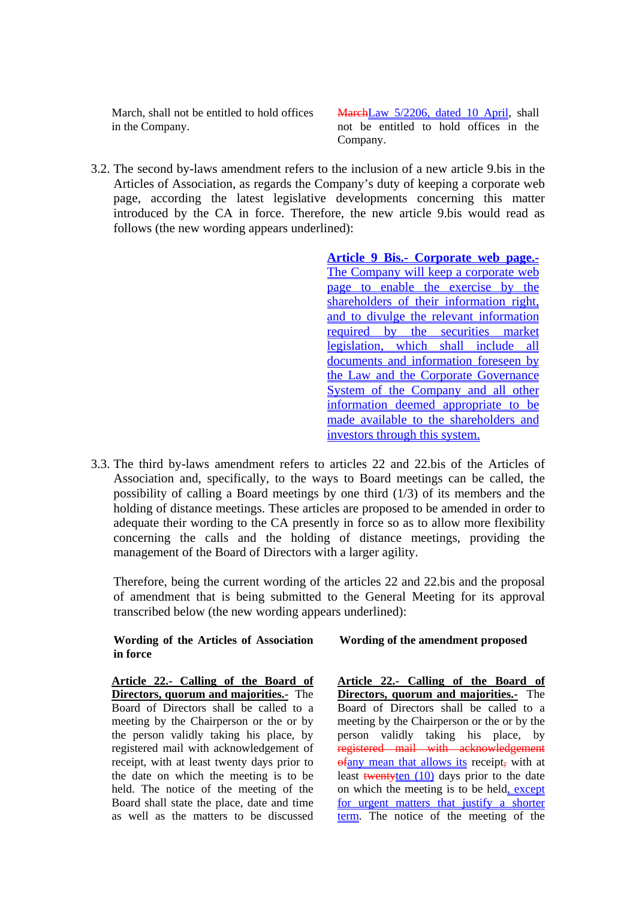March, shall not be entitled to hold offices in the Company.

MarchLaw 5/2206, dated 10 April, shall not be entitled to hold offices in the Company.

3.2. The second by-laws amendment refers to the inclusion of a new article 9.bis in the Articles of Association, as regards the Company's duty of keeping a corporate web page, according the latest legislative developments concerning this matter introduced by the CA in force. Therefore, the new article 9.bis would read as follows (the new wording appears underlined):

> **Article 9 Bis.- Corporate web page.-** The Company will keep a corporate web page to enable the exercise by the shareholders of their information right, and to divulge the relevant information required by the securities market legislation, which shall include all documents and information foreseen by the Law and the Corporate Governance System of the Company and all other information deemed appropriate to be made available to the shareholders and investors through this system.

3.3. The third by-laws amendment refers to articles 22 and 22.bis of the Articles of Association and, specifically, to the ways to Board meetings can be called, the possibility of calling a Board meetings by one third (1/3) of its members and the holding of distance meetings. These articles are proposed to be amended in order to adequate their wording to the CA presently in force so as to allow more flexibility concerning the calls and the holding of distance meetings, providing the management of the Board of Directors with a larger agility.

Therefore, being the current wording of the articles 22 and 22.bis and the proposal of amendment that is being submitted to the General Meeting for its approval transcribed below (the new wording appears underlined):

**Wording of the Articles of Association in force** 

**Article 22.- Calling of the Board of Directors, quorum and majorities.-** The Board of Directors shall be called to a meeting by the Chairperson or the or by the person validly taking his place, by registered mail with acknowledgement of receipt, with at least twenty days prior to the date on which the meeting is to be held. The notice of the meeting of the Board shall state the place, date and time as well as the matters to be discussed  **Wording of the amendment proposed** 

**Article 22.- Calling of the Board of Directors, quorum and majorities.-** The Board of Directors shall be called to a meeting by the Chairperson or the or by the person validly taking his place, by registered mail with acknowledgement of any mean that allows its receipt, with at least twentyten  $(10)$  days prior to the date on which the meeting is to be held, except for urgent matters that justify a shorter term. The notice of the meeting of the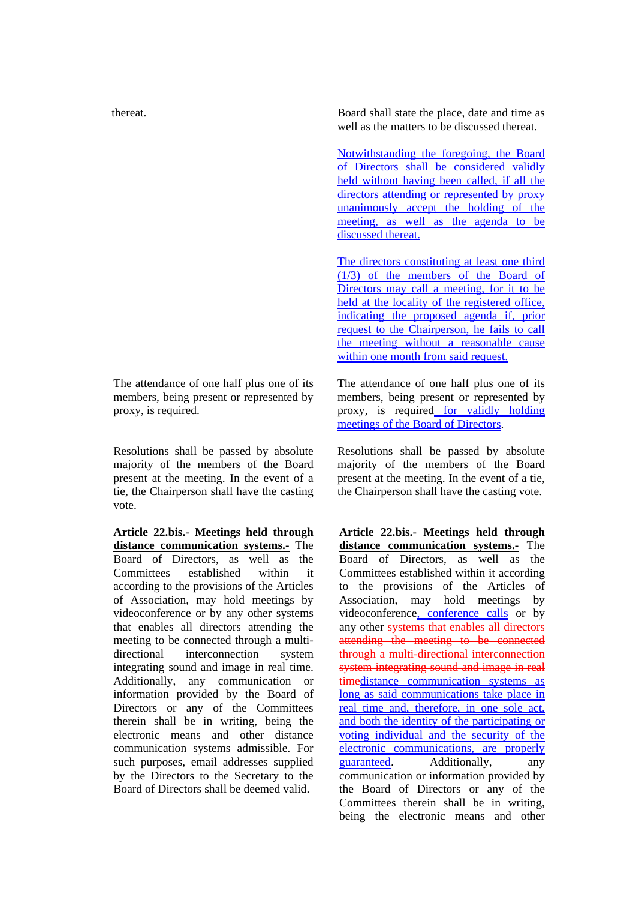thereat.

The attendance of one half plus one of its members, being present or represented by proxy, is required.

Resolutions shall be passed by absolute majority of the members of the Board present at the meeting. In the event of a tie, the Chairperson shall have the casting vote.

**Article 22.bis.- Meetings held through distance communication systems.-** The Board of Directors, as well as the Committees established within it according to the provisions of the Articles of Association, may hold meetings by videoconference or by any other systems that enables all directors attending the meeting to be connected through a multidirectional interconnection system integrating sound and image in real time. Additionally, any communication or information provided by the Board of Directors or any of the Committees therein shall be in writing, being the electronic means and other distance communication systems admissible. For such purposes, email addresses supplied by the Directors to the Secretary to the Board of Directors shall be deemed valid.

Board shall state the place, date and time as well as the matters to be discussed thereat.

Notwithstanding the foregoing, the Board of Directors shall be considered validly held without having been called, if all the directors attending or represented by proxy unanimously accept the holding of the meeting, as well as the agenda to be discussed thereat.

The directors constituting at least one third  $(1/3)$  of the members of the Board of Directors may call a meeting, for it to be held at the locality of the registered office. indicating the proposed agenda if, prior request to the Chairperson, he fails to call the meeting without a reasonable cause within one month from said request.

The attendance of one half plus one of its members, being present or represented by proxy, is required for validly holding meetings of the Board of Directors.

Resolutions shall be passed by absolute majority of the members of the Board present at the meeting. In the event of a tie, the Chairperson shall have the casting vote.

**Article 22.bis.- Meetings held through distance communication systems.-** The Board of Directors, as well as the Committees established within it according to the provisions of the Articles of Association, may hold meetings by videoconference, conference calls or by any other systems that enables all directors attending the meeting to be connected through a multi-directional interconnection system integrating sound and image in real timedistance communication systems as long as said communications take place in real time and, therefore, in one sole act, and both the identity of the participating or voting individual and the security of the electronic communications, are properly guaranteed. Additionally, any communication or information provided by the Board of Directors or any of the Committees therein shall be in writing, being the electronic means and other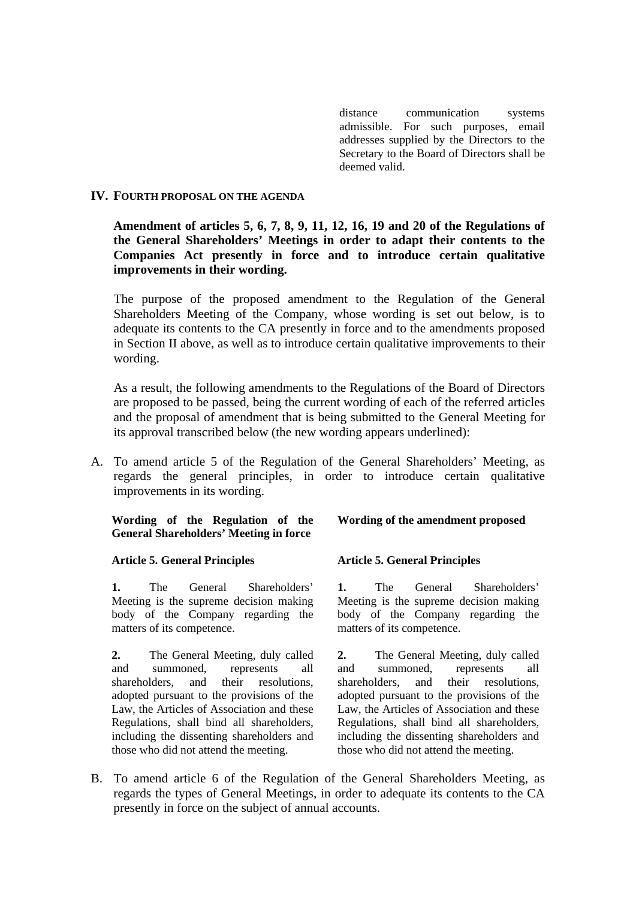distance communication systems admissible. For such purposes, email addresses supplied by the Directors to the Secretary to the Board of Directors shall be deemed valid.

### **IV. FOURTH PROPOSAL ON THE AGENDA**

### **Amendment of articles 5, 6, 7, 8, 9, 11, 12, 16, 19 and 20 of the Regulations of the General Shareholders' Meetings in order to adapt their contents to the Companies Act presently in force and to introduce certain qualitative improvements in their wording.**

The purpose of the proposed amendment to the Regulation of the General Shareholders Meeting of the Company, whose wording is set out below, is to adequate its contents to the CA presently in force and to the amendments proposed in Section II above, as well as to introduce certain qualitative improvements to their wording.

As a result, the following amendments to the Regulations of the Board of Directors are proposed to be passed, being the current wording of each of the referred articles and the proposal of amendment that is being submitted to the General Meeting for its approval transcribed below (the new wording appears underlined):

A. To amend article 5 of the Regulation of the General Shareholders' Meeting, as regards the general principles, in order to introduce certain qualitative improvements in its wording.

### **Wording of the Regulation of the General Shareholders' Meeting in force**

#### **Article 5. General Principles**

**1.** The General Shareholders' Meeting is the supreme decision making body of the Company regarding the matters of its competence.

**2.** The General Meeting, duly called and summoned, represents all shareholders, and their resolutions, adopted pursuant to the provisions of the Law, the Articles of Association and these Regulations, shall bind all shareholders, including the dissenting shareholders and those who did not attend the meeting.

#### **Wording of the amendment proposed**

#### **Article 5. General Principles**

**1.** The General Shareholders' Meeting is the supreme decision making body of the Company regarding the matters of its competence.

**2.** The General Meeting, duly called and summoned, represents all shareholders, and their resolutions, adopted pursuant to the provisions of the Law, the Articles of Association and these Regulations, shall bind all shareholders, including the dissenting shareholders and those who did not attend the meeting.

B. To amend article 6 of the Regulation of the General Shareholders Meeting, as regards the types of General Meetings, in order to adequate its contents to the CA presently in force on the subject of annual accounts.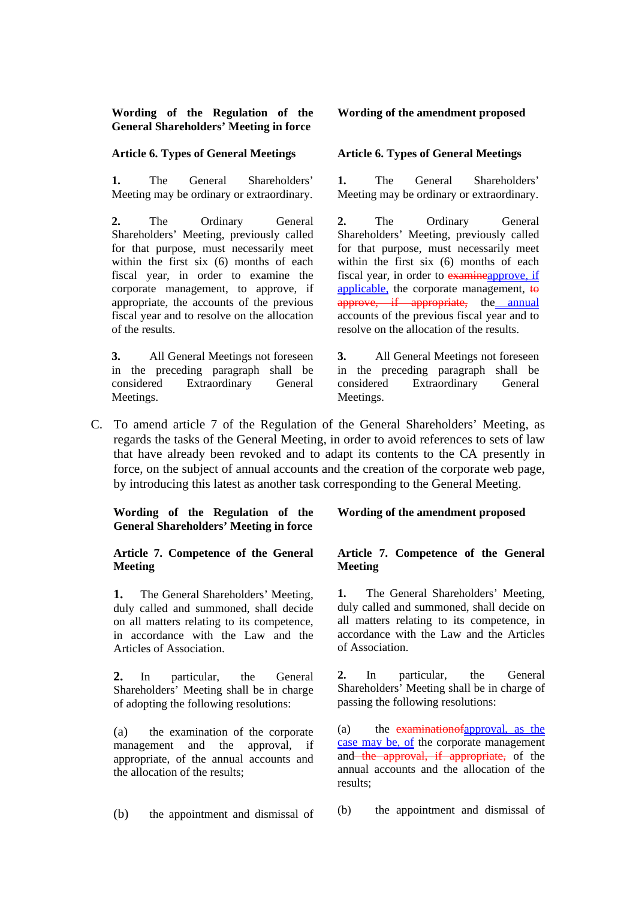**Wording of the Regulation of the General Shareholders' Meeting in force** 

#### **Article 6. Types of General Meetings**

**1.** The General Shareholders' Meeting may be ordinary or extraordinary.

**2.** The Ordinary General Shareholders' Meeting, previously called for that purpose, must necessarily meet within the first six (6) months of each fiscal year, in order to examine the corporate management, to approve, if appropriate, the accounts of the previous fiscal year and to resolve on the allocation of the results.

**3.** All General Meetings not foreseen in the preceding paragraph shall be considered Extraordinary General Meetings.

#### **Wording of the amendment proposed**

#### **Article 6. Types of General Meetings**

**1.** The General Shareholders' Meeting may be ordinary or extraordinary.

**2.** The Ordinary General Shareholders' Meeting, previously called for that purpose, must necessarily meet within the first six (6) months of each fiscal year, in order to examineapprove, if applicable, the corporate management, to approve, if appropriate, the annual accounts of the previous fiscal year and to resolve on the allocation of the results.

**3.** All General Meetings not foreseen in the preceding paragraph shall be considered Extraordinary General Meetings.

C. To amend article 7 of the Regulation of the General Shareholders' Meeting, as regards the tasks of the General Meeting, in order to avoid references to sets of law that have already been revoked and to adapt its contents to the CA presently in force, on the subject of annual accounts and the creation of the corporate web page, by introducing this latest as another task corresponding to the General Meeting.

**Wording of the Regulation of the General Shareholders' Meeting in force** 

#### **Article 7. Competence of the General Meeting**

**1.** The General Shareholders' Meeting, duly called and summoned, shall decide on all matters relating to its competence, in accordance with the Law and the Articles of Association.

**2.** In particular, the General Shareholders' Meeting shall be in charge of adopting the following resolutions:

(a) the examination of the corporate management and the approval, if appropriate, of the annual accounts and the allocation of the results;

(b) the appointment and dismissal of

#### **Wording of the amendment proposed**

#### **Article 7. Competence of the General Meeting**

**1.** The General Shareholders' Meeting, duly called and summoned, shall decide on all matters relating to its competence, in accordance with the Law and the Articles of Association.

**2.** In particular, the General Shareholders' Meeting shall be in charge of passing the following resolutions:

(a) the examinationofapproval, as the case may be, of the corporate management and the approval, if appropriate, of the annual accounts and the allocation of the results;

(b) the appointment and dismissal of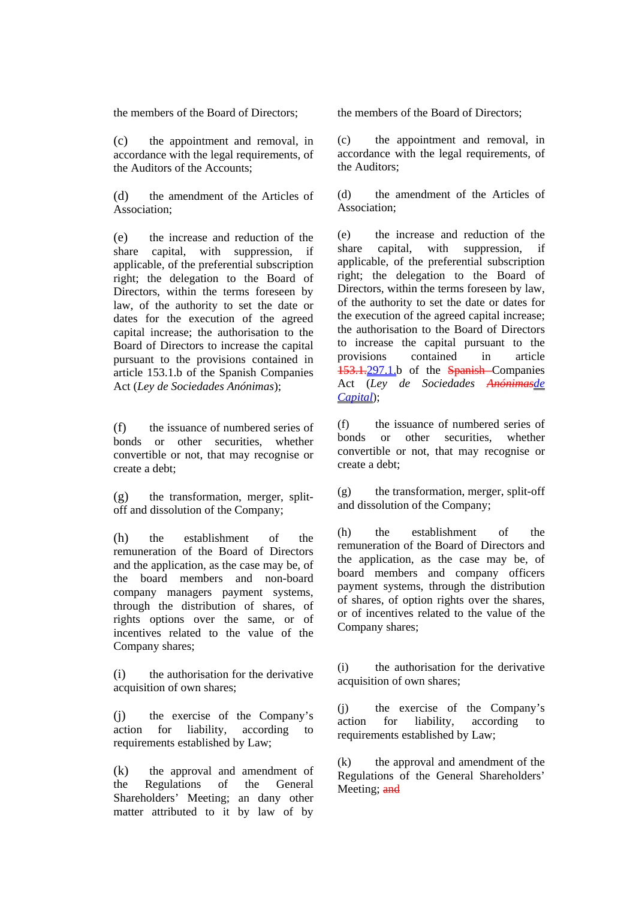the members of the Board of Directors;

(c) the appointment and removal, in accordance with the legal requirements, of the Auditors of the Accounts;

(d) the amendment of the Articles of Association;

(e) the increase and reduction of the share capital, with suppression, if applicable, of the preferential subscription right; the delegation to the Board of Directors, within the terms foreseen by law, of the authority to set the date or dates for the execution of the agreed capital increase; the authorisation to the Board of Directors to increase the capital pursuant to the provisions contained in article 153.1.b of the Spanish Companies Act (*Ley de Sociedades Anónimas*);

(f) the issuance of numbered series of bonds or other securities, whether convertible or not, that may recognise or create a debt;

(g) the transformation, merger, splitoff and dissolution of the Company;

(h) the establishment of the remuneration of the Board of Directors and the application, as the case may be, of the board members and non-board company managers payment systems, through the distribution of shares, of rights options over the same, or of incentives related to the value of the Company shares;

(i) the authorisation for the derivative acquisition of own shares;

(j) the exercise of the Company's action for liability, according to requirements established by Law;

(k) the approval and amendment of the Regulations of the General Shareholders' Meeting; an dany other matter attributed to it by law of by the members of the Board of Directors;

(c) the appointment and removal, in accordance with the legal requirements, of the Auditors;

(d) the amendment of the Articles of Association;

(e) the increase and reduction of the share capital, with suppression, if applicable, of the preferential subscription right; the delegation to the Board of Directors, within the terms foreseen by law, of the authority to set the date or dates for the execution of the agreed capital increase; the authorisation to the Board of Directors to increase the capital pursuant to the provisions contained in article 153.1.297.1.b of the Spanish Companies Act (*Ley de Sociedades Anónimasde Capital*);

(f) the issuance of numbered series of bonds or other securities, whether convertible or not, that may recognise or create a debt;

 $(g)$  the transformation, merger, split-off and dissolution of the Company;

(h) the establishment of the remuneration of the Board of Directors and the application, as the case may be, of board members and company officers payment systems, through the distribution of shares, of option rights over the shares, or of incentives related to the value of the Company shares;

(i) the authorisation for the derivative acquisition of own shares;

(j) the exercise of the Company's action for liability, according to requirements established by Law;

(k) the approval and amendment of the Regulations of the General Shareholders' Meeting; and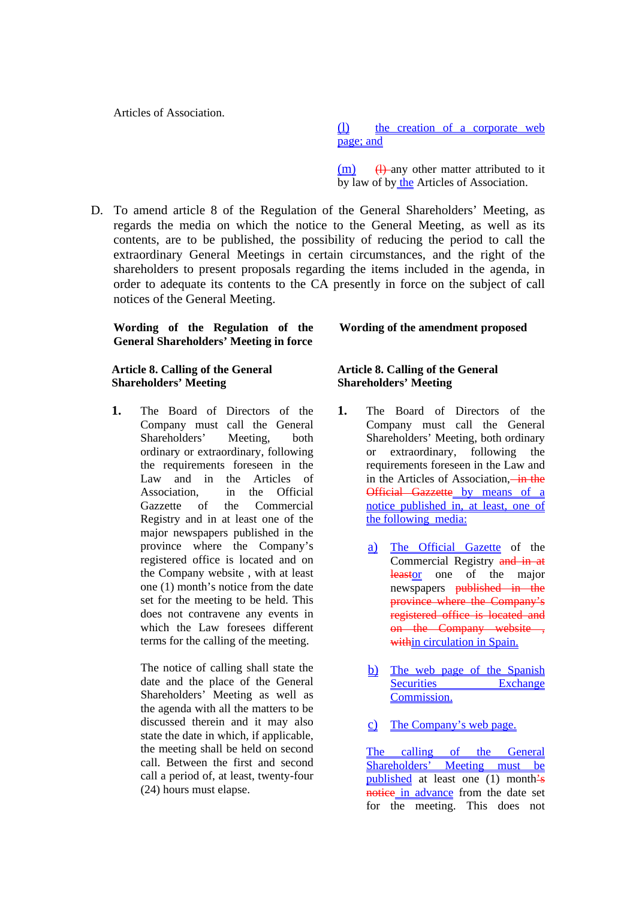Articles of Association.

(l) the creation of a corporate web page; and

 $(m)$  (H) any other matter attributed to it by law of by the Articles of Association.

D. To amend article 8 of the Regulation of the General Shareholders' Meeting, as regards the media on which the notice to the General Meeting, as well as its contents, are to be published, the possibility of reducing the period to call the extraordinary General Meetings in certain circumstances, and the right of the shareholders to present proposals regarding the items included in the agenda, in order to adequate its contents to the CA presently in force on the subject of call notices of the General Meeting.

### **Wording of the Regulation of the General Shareholders' Meeting in force**

#### **Article 8. Calling of the General Shareholders' Meeting**

**1.** The Board of Directors of the Company must call the General Shareholders' Meeting, both ordinary or extraordinary, following the requirements foreseen in the Law and in the Articles of Association, in the Official Gazzette of the Commercial Registry and in at least one of the major newspapers published in the province where the Company's registered office is located and on the Company website , with at least one (1) month's notice from the date set for the meeting to be held. This does not contravene any events in which the Law foresees different terms for the calling of the meeting.

> The notice of calling shall state the date and the place of the General Shareholders' Meeting as well as the agenda with all the matters to be discussed therein and it may also state the date in which, if applicable, the meeting shall be held on second call. Between the first and second call a period of, at least, twenty-four (24) hours must elapse.

#### **Wording of the amendment proposed**

### **Article 8. Calling of the General Shareholders' Meeting**

- **1.** The Board of Directors of the Company must call the General Shareholders' Meeting, both ordinary or extraordinary, following the requirements foreseen in the Law and in the Articles of Association, in the Official Gazzette by means of a notice published in, at least, one of the following media:
	- a) The Official Gazette of the Commercial Registry and in at leastor one of the major newspapers published in the province where the Company's registered office is located and on the Company website , within circulation in Spain.
	- b) The web page of the Spanish Securities Exchange Commission.
	- c) The Company's web page.

The calling of the General Shareholders' Meeting must be published at least one (1) month's notice in advance from the date set for the meeting. This does not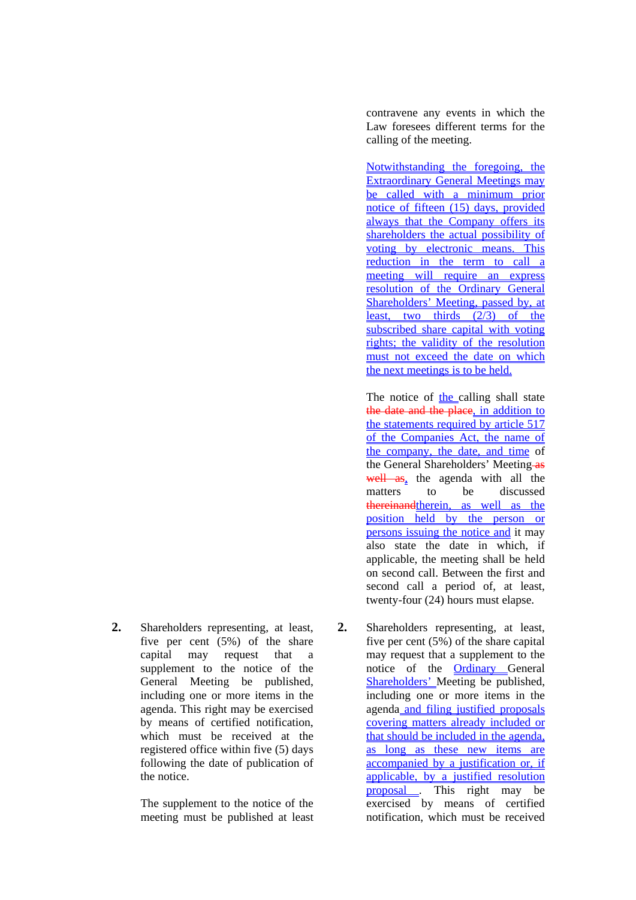**2.** Shareholders representing, at least, five per cent (5%) of the share capital may request that a supplement to the notice of the General Meeting be published, including one or more items in the agenda. This right may be exercised by means of certified notification, which must be received at the registered office within five (5) days following the date of publication of the notice.

> The supplement to the notice of the meeting must be published at least

contravene any events in which the Law foresees different terms for the calling of the meeting.

Notwithstanding the foregoing, the Extraordinary General Meetings may be called with a minimum prior notice of fifteen (15) days, provided always that the Company offers its shareholders the actual possibility of voting by electronic means. This reduction in the term to call a meeting will require an express resolution of the Ordinary General Shareholders' Meeting, passed by, at least, two thirds (2/3) of the subscribed share capital with voting rights; the validity of the resolution must not exceed the date on which the next meetings is to be held.

The notice of the calling shall state the date and the place, in addition to the statements required by article 517 of the Companies Act, the name of the company, the date, and time of the General Shareholders' Meeting-as well as, the agenda with all the matters to be discussed thereinandtherein, as well as the position held by the person or persons issuing the notice and it may also state the date in which, if applicable, the meeting shall be held on second call. Between the first and second call a period of, at least, twenty-four (24) hours must elapse.

**2.** Shareholders representing, at least, five per cent (5%) of the share capital may request that a supplement to the notice of the Ordinary General Shareholders' Meeting be published, including one or more items in the agenda and filing justified proposals covering matters already included or that should be included in the agenda, as long as these new items are accompanied by a justification or, if applicable, by a justified resolution proposal . This right may be exercised by means of certified notification, which must be received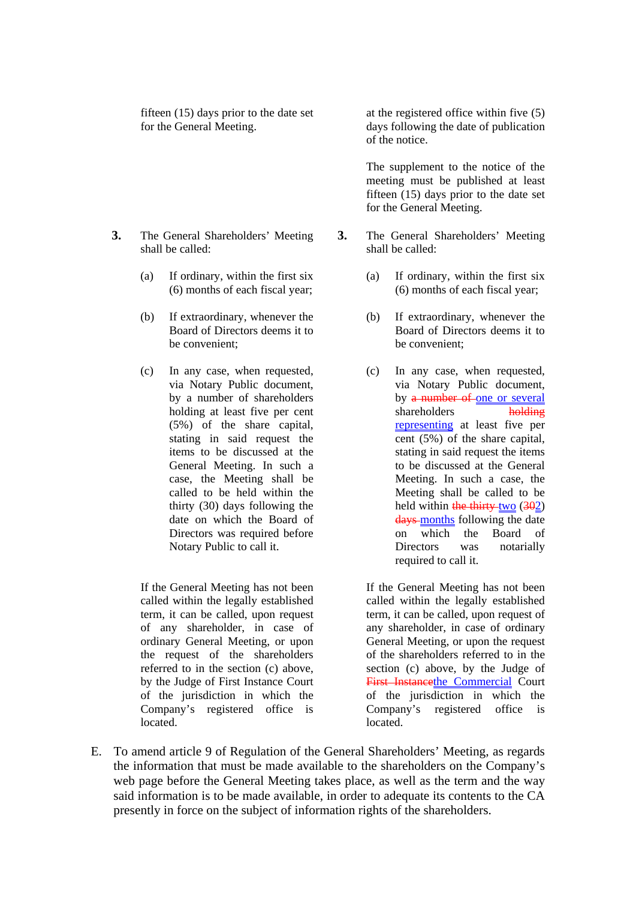fifteen (15) days prior to the date set for the General Meeting.

- **3.** The General Shareholders' Meeting shall be called:
	- (a) If ordinary, within the first six (6) months of each fiscal year;
	- (b) If extraordinary, whenever the Board of Directors deems it to be convenient;
	- (c) In any case, when requested, via Notary Public document, by a number of shareholders holding at least five per cent (5%) of the share capital, stating in said request the items to be discussed at the General Meeting. In such a case, the Meeting shall be called to be held within the thirty (30) days following the date on which the Board of Directors was required before Notary Public to call it.

If the General Meeting has not been called within the legally established term, it can be called, upon request of any shareholder, in case of ordinary General Meeting, or upon the request of the shareholders referred to in the section (c) above, by the Judge of First Instance Court of the jurisdiction in which the Company's registered office is located.

at the registered office within five (5) days following the date of publication of the notice.

 The supplement to the notice of the meeting must be published at least fifteen (15) days prior to the date set for the General Meeting.

- **3.** The General Shareholders' Meeting shall be called:
	- (a) If ordinary, within the first six (6) months of each fiscal year;
	- (b) If extraordinary, whenever the Board of Directors deems it to be convenient;
	- (c) In any case, when requested, via Notary Public document, by a number of one or several shareholders holding representing at least five per cent (5%) of the share capital, stating in said request the items to be discussed at the General Meeting. In such a case, the Meeting shall be called to be held within the thirty-two  $(302)$ days months following the date on which the Board of Directors was notarially required to call it.

If the General Meeting has not been called within the legally established term, it can be called, upon request of any shareholder, in case of ordinary General Meeting, or upon the request of the shareholders referred to in the section (c) above, by the Judge of First Instancethe Commercial Court of the jurisdiction in which the Company's registered office is located.

E. To amend article 9 of Regulation of the General Shareholders' Meeting, as regards the information that must be made available to the shareholders on the Company's web page before the General Meeting takes place, as well as the term and the way said information is to be made available, in order to adequate its contents to the CA presently in force on the subject of information rights of the shareholders.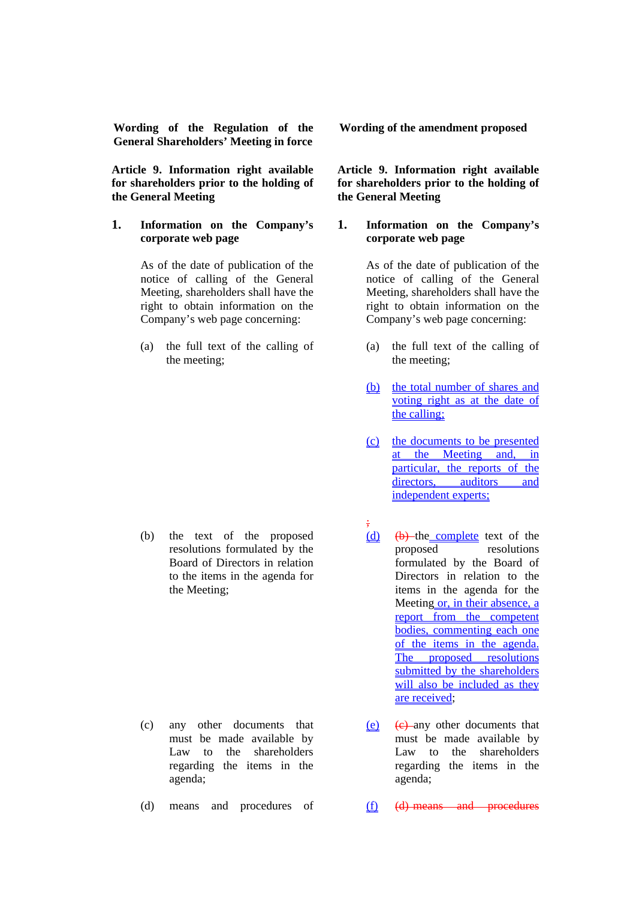**Wording of the Regulation of the General Shareholders' Meeting in force** 

**Article 9. Information right available for shareholders prior to the holding of the General Meeting** 

#### **1. Information on the Company's corporate web page**

As of the date of publication of the notice of calling of the General Meeting, shareholders shall have the right to obtain information on the Company's web page concerning:

(a) the full text of the calling of the meeting;

(b) the text of the proposed resolutions formulated by the Board of Directors in relation to the items in the agenda for the Meeting;

- (c) any other documents that must be made available by Law to the shareholders regarding the items in the agenda;
- (d) means and procedures of

**Wording of the amendment proposed**

#### **Article 9. Information right available for shareholders prior to the holding of the General Meeting**

#### **1. Information on the Company's corporate web page**

As of the date of publication of the notice of calling of the General Meeting, shareholders shall have the right to obtain information on the Company's web page concerning:

- (a) the full text of the calling of the meeting;
- (b) the total number of shares and voting right as at the date of the calling;
- (c) the documents to be presented at the Meeting and, in particular, the reports of the directors, auditors and independent experts;
- ;  $(d)$   $(b)$ -the complete text of the proposed resolutions formulated by the Board of Directors in relation to the items in the agenda for the Meeting or, in their absence, a report from the competent bodies, commenting each one of the items in the agenda. The proposed resolutions submitted by the shareholders will also be included as they are received;
- (e)  $(e)$  any other documents that must be made available by Law to the shareholders regarding the items in the agenda;
- (f) (d) means and procedures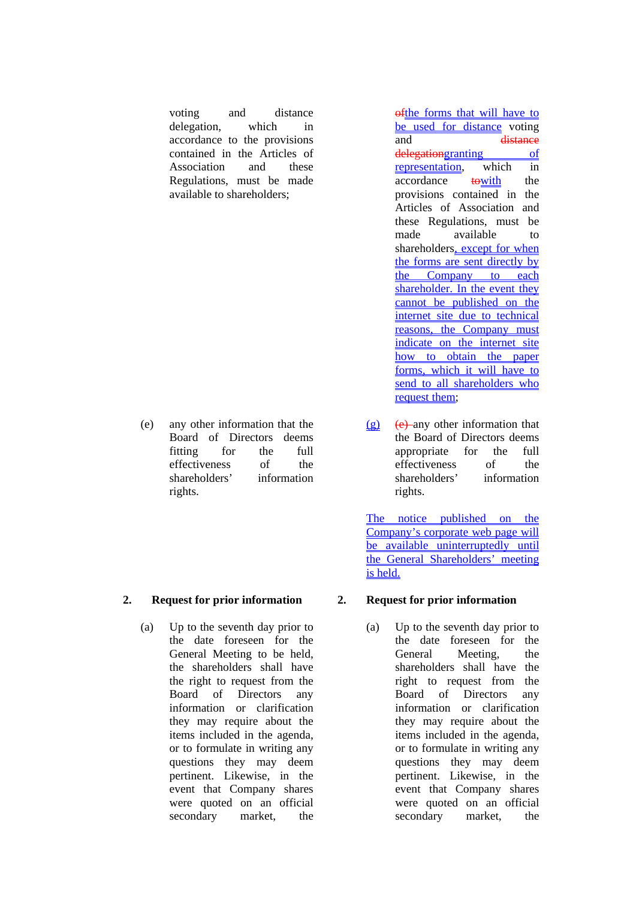voting and distance delegation, which in accordance to the provisions contained in the Articles of Association and these Regulations, must be made available to shareholders;

(e) any other information that the Board of Directors deems fitting for the full effectiveness of the shareholders' information rights.

### **2. Request for prior information**

(a) Up to the seventh day prior to the date foreseen for the General Meeting to be held, the shareholders shall have the right to request from the Board of Directors any information or clarification they may require about the items included in the agenda, or to formulate in writing any questions they may deem pertinent. Likewise, in the event that Company shares were quoted on an official secondary market, the

ofthe forms that will have to be used for distance voting and distance delegationgranting of representation, which in accordance towith the provisions contained in the Articles of Association and these Regulations, must be made available to shareholders, except for when the forms are sent directly by the Company to each shareholder. In the event they cannot be published on the internet site due to technical reasons, the Company must indicate on the internet site how to obtain the paper forms, which it will have to send to all shareholders who request them;

 $(g)$  (e) any other information that the Board of Directors deems appropriate for the full effectiveness of the shareholders' information rights.

The notice published on the Company's corporate web page will be available uninterruptedly until the General Shareholders' meeting is held.

### **2. Request for prior information**

(a) Up to the seventh day prior to the date foreseen for the General Meeting, the shareholders shall have the right to request from the Board of Directors any information or clarification they may require about the items included in the agenda, or to formulate in writing any questions they may deem pertinent. Likewise, in the event that Company shares were quoted on an official secondary market, the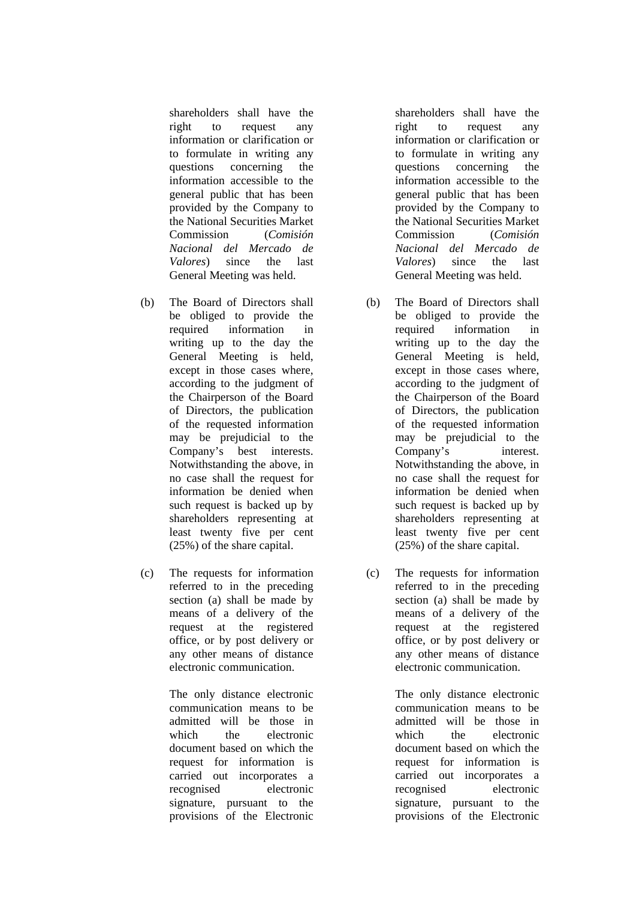shareholders shall have the right to request any information or clarification or to formulate in writing any questions concerning the information accessible to the general public that has been provided by the Company to the National Securities Market Commission (*Comisión Nacional del Mercado de Valores*) since the last General Meeting was held.

- (b) The Board of Directors shall be obliged to provide the required information in writing up to the day the General Meeting is held, except in those cases where, according to the judgment of the Chairperson of the Board of Directors, the publication of the requested information may be prejudicial to the Company's best interests. Notwithstanding the above, in no case shall the request for information be denied when such request is backed up by shareholders representing at least twenty five per cent (25%) of the share capital.
- (c) The requests for information referred to in the preceding section (a) shall be made by means of a delivery of the request at the registered office, or by post delivery or any other means of distance electronic communication.

The only distance electronic communication means to be admitted will be those in which the electronic document based on which the request for information is carried out incorporates a recognised electronic signature, pursuant to the provisions of the Electronic

shareholders shall have the right to request any information or clarification or to formulate in writing any questions concerning the information accessible to the general public that has been provided by the Company to the National Securities Market Commission (*Comisión Nacional del Mercado de Valores*) since the last General Meeting was held.

- (b) The Board of Directors shall be obliged to provide the required information in writing up to the day the General Meeting is held, except in those cases where, according to the judgment of the Chairperson of the Board of Directors, the publication of the requested information may be prejudicial to the Company's interest. Notwithstanding the above, in no case shall the request for information be denied when such request is backed up by shareholders representing at least twenty five per cent (25%) of the share capital.
- (c) The requests for information referred to in the preceding section (a) shall be made by means of a delivery of the request at the registered office, or by post delivery or any other means of distance electronic communication.

The only distance electronic communication means to be admitted will be those in which the electronic document based on which the request for information is carried out incorporates a recognised electronic signature, pursuant to the provisions of the Electronic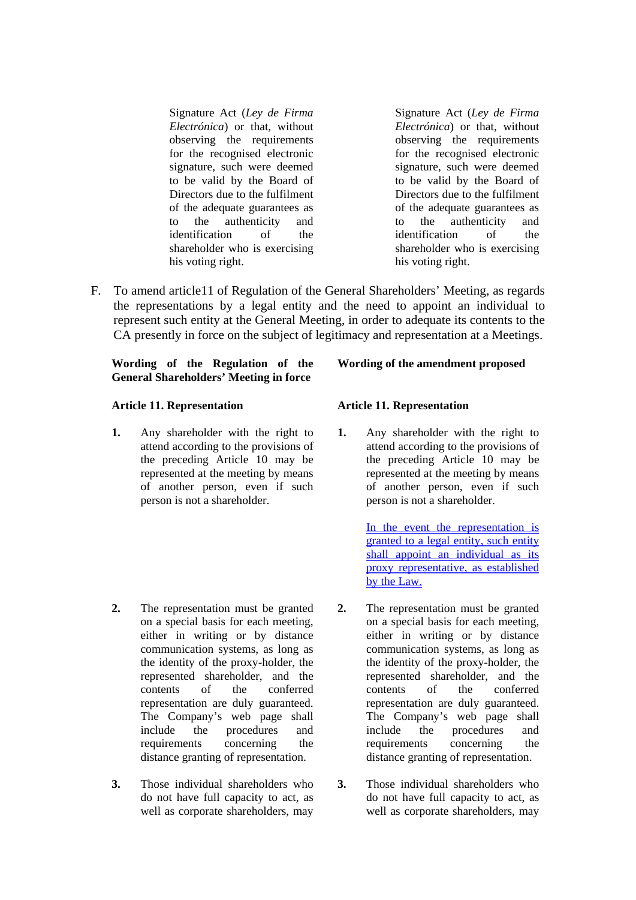Signature Act (*Ley de Firma Electrónica*) or that, without observing the requirements for the recognised electronic signature, such were deemed to be valid by the Board of Directors due to the fulfilment of the adequate guarantees as to the authenticity and identification of the shareholder who is exercising his voting right.

- Signature Act (*Ley de Firma Electrónica*) or that, without observing the requirements for the recognised electronic signature, such were deemed to be valid by the Board of Directors due to the fulfilment of the adequate guarantees as to the authenticity and identification of the shareholder who is exercising his voting right.
- F. To amend article11 of Regulation of the General Shareholders' Meeting, as regards the representations by a legal entity and the need to appoint an individual to represent such entity at the General Meeting, in order to adequate its contents to the CA presently in force on the subject of legitimacy and representation at a Meetings.

#### **Wording of the Regulation of the General Shareholders' Meeting in force**

#### **Article 11. Representation**

**1.** Any shareholder with the right to attend according to the provisions of the preceding Article 10 may be represented at the meeting by means of another person, even if such person is not a shareholder.

- **2.** The representation must be granted on a special basis for each meeting, either in writing or by distance communication systems, as long as the identity of the proxy-holder, the represented shareholder, and the contents of the conferred representation are duly guaranteed. The Company's web page shall include the procedures and requirements concerning the distance granting of representation.
- **3.** Those individual shareholders who do not have full capacity to act, as well as corporate shareholders, may

#### **Wording of the amendment proposed**

#### **Article 11. Representation**

**1.** Any shareholder with the right to attend according to the provisions of the preceding Article 10 may be represented at the meeting by means of another person, even if such person is not a shareholder.

> In the event the representation is granted to a <u>legal entity</u>, such entity shall appoint an individual as its proxy representative, as established by the Law.

- **2.** The representation must be granted on a special basis for each meeting, either in writing or by distance communication systems, as long as the identity of the proxy-holder, the represented shareholder, and the contents of the conferred representation are duly guaranteed. The Company's web page shall include the procedures and requirements concerning the distance granting of representation.
- **3.** Those individual shareholders who do not have full capacity to act, as well as corporate shareholders, may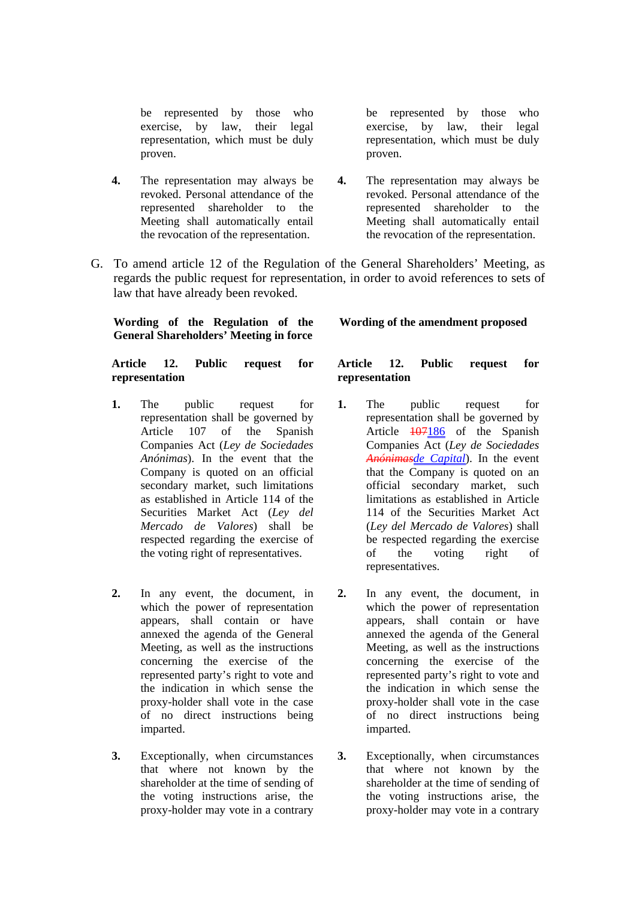be represented by those who exercise, by law, their legal representation, which must be duly proven.

- **4.** The representation may always be revoked. Personal attendance of the represented shareholder to the Meeting shall automatically entail the revocation of the representation.
- G. To amend article 12 of the Regulation of the General Shareholders' Meeting, as regards the public request for representation, in order to avoid references to sets of law that have already been revoked.

**Wording of the Regulation of the General Shareholders' Meeting in force** 

**Article 12. Public request for representation** 

- **1.** The public request for representation shall be governed by Article 107 of the Spanish Companies Act (*Ley de Sociedades Anónimas*). In the event that the Company is quoted on an official secondary market, such limitations as established in Article 114 of the Securities Market Act (*Ley del Mercado de Valores*) shall be respected regarding the exercise of the voting right of representatives.
- **2.** In any event, the document, in which the power of representation appears, shall contain or have annexed the agenda of the General Meeting, as well as the instructions concerning the exercise of the represented party's right to vote and the indication in which sense the proxy-holder shall vote in the case of no direct instructions being imparted.
- **3.** Exceptionally, when circumstances that where not known by the shareholder at the time of sending of the voting instructions arise, the proxy-holder may vote in a contrary

#### **Wording of the amendment proposed**

be represented by those who exercise, by law, their legal representation, which must be duly

**4.** The representation may always be revoked. Personal attendance of the represented shareholder to the Meeting shall automatically entail the revocation of the representation.

proven.

### **Article 12. Public request for representation**

- **1.** The public request for representation shall be governed by Article 107186 of the Spanish Companies Act (*Ley de Sociedades Anónimasde Capital*). In the event that the Company is quoted on an official secondary market, such limitations as established in Article 114 of the Securities Market Act (*Ley del Mercado de Valores*) shall be respected regarding the exercise of the voting right of representatives.
- **2.** In any event, the document, in which the power of representation appears, shall contain or have annexed the agenda of the General Meeting, as well as the instructions concerning the exercise of the represented party's right to vote and the indication in which sense the proxy-holder shall vote in the case of no direct instructions being imparted.
- **3.** Exceptionally, when circumstances that where not known by the shareholder at the time of sending of the voting instructions arise, the proxy-holder may vote in a contrary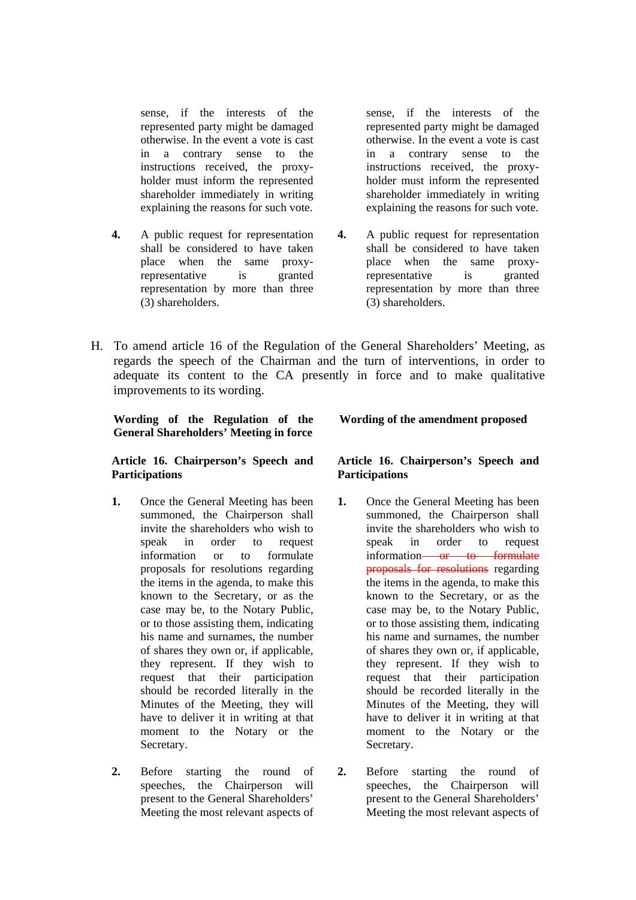sense, if the interests of the represented party might be damaged otherwise. In the event a vote is cast in a contrary sense to the instructions received, the proxyholder must inform the represented shareholder immediately in writing explaining the reasons for such vote.

**4.** A public request for representation shall be considered to have taken place when the same proxyrepresentative is granted representation by more than three (3) shareholders.

sense, if the interests of the represented party might be damaged otherwise. In the event a vote is cast in a contrary sense to the instructions received, the proxyholder must inform the represented shareholder immediately in writing explaining the reasons for such vote.

- **4.** A public request for representation shall be considered to have taken place when the same proxyrepresentative is granted representation by more than three (3) shareholders.
- H. To amend article 16 of the Regulation of the General Shareholders' Meeting, as regards the speech of the Chairman and the turn of interventions, in order to adequate its content to the CA presently in force and to make qualitative improvements to its wording.

**Wording of the Regulation of the General Shareholders' Meeting in force** 

**Article 16. Chairperson's Speech and Participations** 

- **1.** Once the General Meeting has been summoned, the Chairperson shall invite the shareholders who wish to speak in order to request information or to formulate proposals for resolutions regarding the items in the agenda, to make this known to the Secretary, or as the case may be, to the Notary Public, or to those assisting them, indicating his name and surnames, the number of shares they own or, if applicable, they represent. If they wish to request that their participation should be recorded literally in the Minutes of the Meeting, they will have to deliver it in writing at that moment to the Notary or the Secretary.
- **2.** Before starting the round of speeches, the Chairperson will present to the General Shareholders' Meeting the most relevant aspects of

**Wording of the amendment proposed**

### **Article 16. Chairperson's Speech and Participations**

- **1.** Once the General Meeting has been summoned, the Chairperson shall invite the shareholders who wish to speak in order to request information or to formulate proposals for resolutions regarding the items in the agenda, to make this known to the Secretary, or as the case may be, to the Notary Public, or to those assisting them, indicating his name and surnames, the number of shares they own or, if applicable, they represent. If they wish to request that their participation should be recorded literally in the Minutes of the Meeting, they will have to deliver it in writing at that moment to the Notary or the Secretary.
- **2.** Before starting the round of speeches, the Chairperson will present to the General Shareholders' Meeting the most relevant aspects of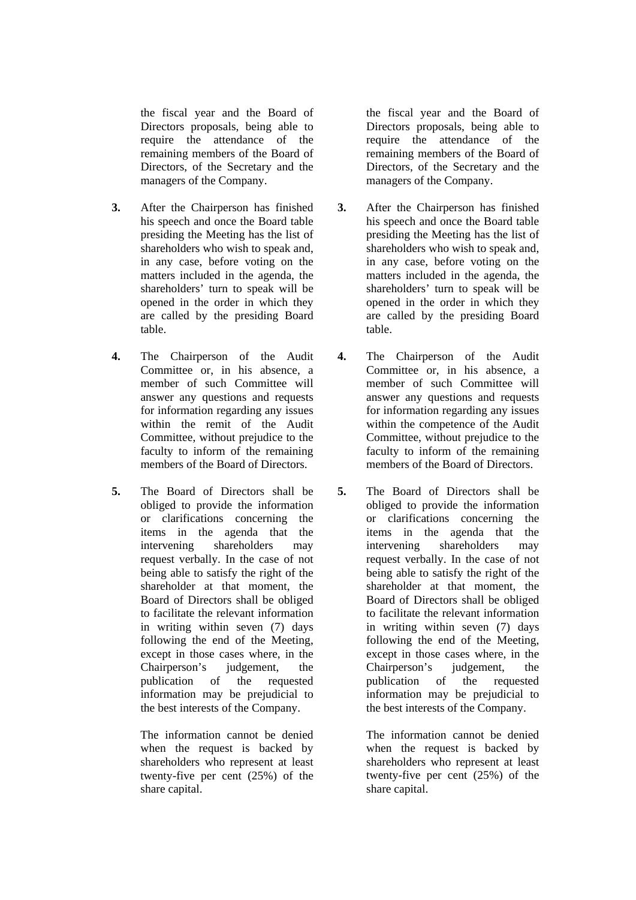the fiscal year and the Board of Directors proposals, being able to require the attendance of the remaining members of the Board of Directors, of the Secretary and the managers of the Company.

- **3.** After the Chairperson has finished his speech and once the Board table presiding the Meeting has the list of shareholders who wish to speak and, in any case, before voting on the matters included in the agenda, the shareholders' turn to speak will be opened in the order in which they are called by the presiding Board table.
- **4.** The Chairperson of the Audit Committee or, in his absence, a member of such Committee will answer any questions and requests for information regarding any issues within the remit of the Audit Committee, without prejudice to the faculty to inform of the remaining members of the Board of Directors.
- **5.** The Board of Directors shall be obliged to provide the information or clarifications concerning the items in the agenda that the intervening shareholders may request verbally. In the case of not being able to satisfy the right of the shareholder at that moment, the Board of Directors shall be obliged to facilitate the relevant information in writing within seven (7) days following the end of the Meeting, except in those cases where, in the Chairperson's judgement, the publication of the requested information may be prejudicial to the best interests of the Company.

The information cannot be denied when the request is backed by shareholders who represent at least twenty-five per cent (25%) of the share capital.

the fiscal year and the Board of Directors proposals, being able to require the attendance of the remaining members of the Board of Directors, of the Secretary and the managers of the Company.

- **3.** After the Chairperson has finished his speech and once the Board table presiding the Meeting has the list of shareholders who wish to speak and, in any case, before voting on the matters included in the agenda, the shareholders' turn to speak will be opened in the order in which they are called by the presiding Board table.
- **4.** The Chairperson of the Audit Committee or, in his absence, a member of such Committee will answer any questions and requests for information regarding any issues within the competence of the Audit Committee, without prejudice to the faculty to inform of the remaining members of the Board of Directors.
- **5.** The Board of Directors shall be obliged to provide the information or clarifications concerning the items in the agenda that the intervening shareholders may request verbally. In the case of not being able to satisfy the right of the shareholder at that moment, the Board of Directors shall be obliged to facilitate the relevant information in writing within seven (7) days following the end of the Meeting, except in those cases where, in the Chairperson's judgement, the publication of the requested information may be prejudicial to the best interests of the Company.

 The information cannot be denied when the request is backed by shareholders who represent at least twenty-five per cent (25%) of the share capital.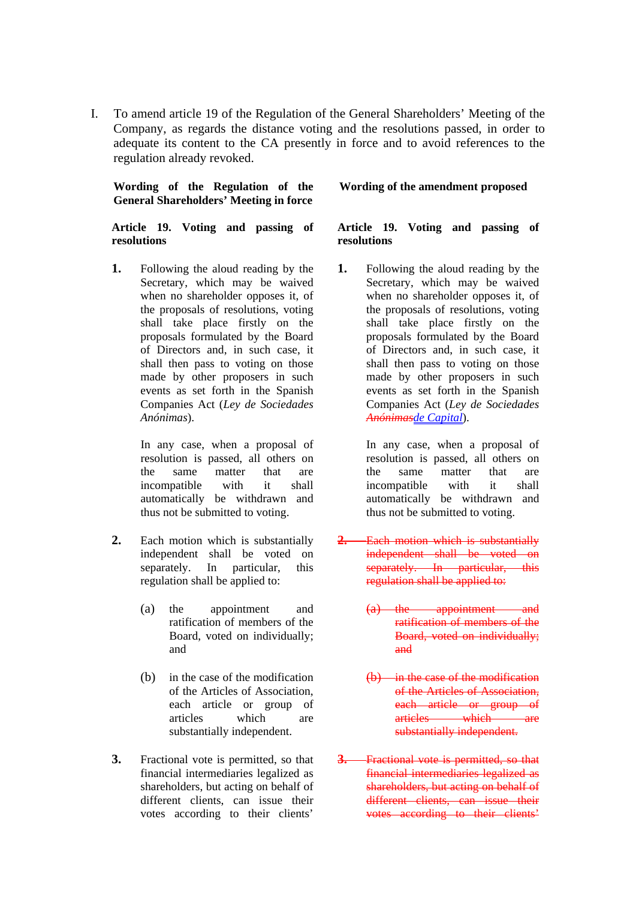I. To amend article 19 of the Regulation of the General Shareholders' Meeting of the Company, as regards the distance voting and the resolutions passed, in order to adequate its content to the CA presently in force and to avoid references to the regulation already revoked.

**Wording of the Regulation of the General Shareholders' Meeting in force** 

**Article 19. Voting and passing of resolutions** 

**1.** Following the aloud reading by the Secretary, which may be waived when no shareholder opposes it, of the proposals of resolutions, voting shall take place firstly on the proposals formulated by the Board of Directors and, in such case, it shall then pass to voting on those made by other proposers in such events as set forth in the Spanish Companies Act (*Ley de Sociedades Anónimas*).

> In any case, when a proposal of resolution is passed, all others on the same matter that are incompatible with it shall automatically be withdrawn and thus not be submitted to voting.

- **2.** Each motion which is substantially independent shall be voted on separately. In particular, this regulation shall be applied to:
	- (a) the appointment and ratification of members of the Board, voted on individually; and
	- (b) in the case of the modification of the Articles of Association, each article or group of articles which are substantially independent.
- **3.** Fractional vote is permitted, so that financial intermediaries legalized as shareholders, but acting on behalf of different clients, can issue their votes according to their clients'

#### **Wording of the amendment proposed**

#### **Article 19. Voting and passing of resolutions**

**1.** Following the aloud reading by the Secretary, which may be waived when no shareholder opposes it, of the proposals of resolutions, voting shall take place firstly on the proposals formulated by the Board of Directors and, in such case, it shall then pass to voting on those made by other proposers in such events as set forth in the Spanish Companies Act (*Ley de Sociedades Anónimasde Capital*).

> In any case, when a proposal of resolution is passed, all others on the same matter that are incompatible with it shall automatically be withdrawn and thus not be submitted to voting.

- **2.** Each motion which is substantially independent shall be voted on separately. In particular, this regulation shall be applied to:
	- (a) the appointment and ratification of members of the Board, voted on individually; and
	- (b) in the case of the modification of the Articles of Association, each article or group of articles which are substantially independent.
- **3.** Fractional vote is permitted, so that financial intermediaries legalized as shareholders, but acting on behalf of different clients, can issue their votes according to their clients'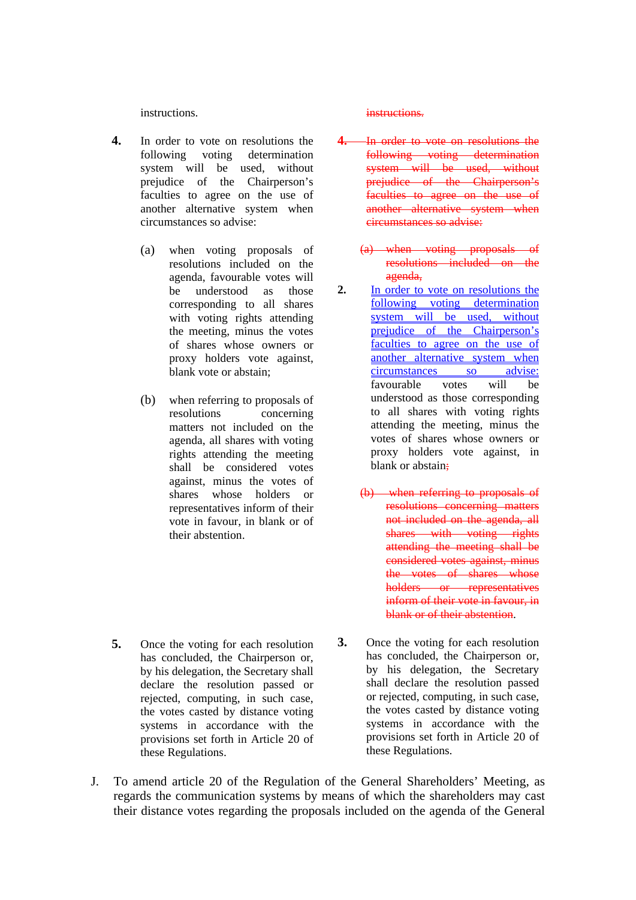instructions.

- **4.** In order to vote on resolutions the following voting determination system will be used, without prejudice of the Chairperson's faculties to agree on the use of another alternative system when circumstances so advise:
	- (a) when voting proposals of resolutions included on the agenda, favourable votes will be understood as those corresponding to all shares with voting rights attending the meeting, minus the votes of shares whose owners or proxy holders vote against, blank vote or abstain;
	- (b) when referring to proposals of resolutions concerning matters not included on the agenda, all shares with voting rights attending the meeting shall be considered votes against, minus the votes of shares whose holders or representatives inform of their vote in favour, in blank or of their abstention.

**5.** Once the voting for each resolution has concluded, the Chairperson or, by his delegation, the Secretary shall declare the resolution passed or rejected, computing, in such case, the votes casted by distance voting systems in accordance with the provisions set forth in Article 20 of these Regulations.

#### instructions.

- **4.** In order to vote on resolutions the following voting determination system will be used, without prejudice of the Chairperson's faculties to agree on the use of another alternative system when circumstances so advise:
	- (a) when voting proposals of resolutions included on the agenda,
- **2.** In order to vote on resolutions the following voting determination system will be used, without prejudice of the Chairperson's faculties to agree on the use of another alternative system when circumstances so advise: favourable votes will be understood as those corresponding to all shares with voting rights attending the meeting, minus the votes of shares whose owners or proxy holders vote against, in blank or abstain:
	- (b) when referring to proposals of resolutions concerning matters not included on the agenda, all shares with voting rights attending the meeting shall be considered votes against, minus the votes of shares whose holders or representatives inform of their vote in favour, in blank or of their abstention.
- **3.** Once the voting for each resolution has concluded, the Chairperson or, by his delegation, the Secretary shall declare the resolution passed or rejected, computing, in such case, the votes casted by distance voting systems in accordance with the provisions set forth in Article 20 of these Regulations.
- J. To amend article 20 of the Regulation of the General Shareholders' Meeting, as regards the communication systems by means of which the shareholders may cast their distance votes regarding the proposals included on the agenda of the General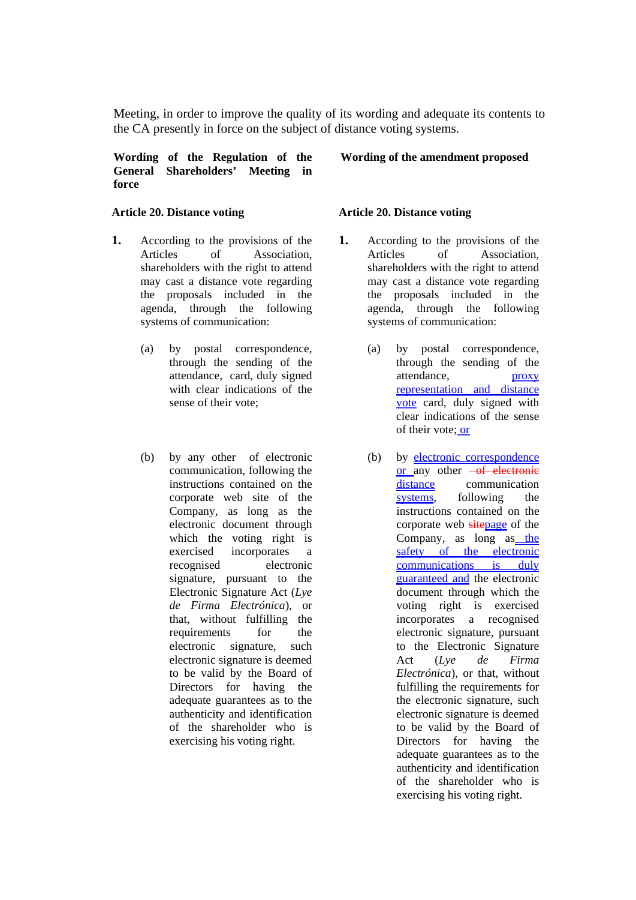Meeting, in order to improve the quality of its wording and adequate its contents to the CA presently in force on the subject of distance voting systems.

**Wording of the Regulation of the General Shareholders' Meeting in force** 

### **Article 20. Distance voting**

- **1.** According to the provisions of the Articles of Association, shareholders with the right to attend may cast a distance vote regarding the proposals included in the agenda, through the following systems of communication:
	- (a) by postal correspondence, through the sending of the attendance, card, duly signed with clear indications of the sense of their vote;
	- (b) by any other of electronic communication, following the instructions contained on the corporate web site of the Company, as long as the electronic document through which the voting right is exercised incorporates a recognised electronic signature, pursuant to the Electronic Signature Act (*Lye de Firma Electrónica*), or that, without fulfilling the requirements for the electronic signature, such electronic signature is deemed to be valid by the Board of Directors for having the adequate guarantees as to the authenticity and identification of the shareholder who is exercising his voting right.

#### **Wording of the amendment proposed**

#### **Article 20. Distance voting**

- **1.** According to the provisions of the Articles of Association, shareholders with the right to attend may cast a distance vote regarding the proposals included in the agenda, through the following systems of communication:
	- (a) by postal correspondence, through the sending of the attendance, proxy representation and distance vote card, duly signed with clear indications of the sense of their vote; or
	- (b) by electronic correspondence or any other  $-of$  electronic distance communication systems, following the instructions contained on the corporate web sitepage of the Company, as long as the safety of the electronic communications is duly guaranteed and the electronic document through which the voting right is exercised incorporates a recognised electronic signature, pursuant to the Electronic Signature Act (*Lye de Firma Electrónica*), or that, without fulfilling the requirements for the electronic signature, such electronic signature is deemed to be valid by the Board of Directors for having the adequate guarantees as to the authenticity and identification of the shareholder who is exercising his voting right.